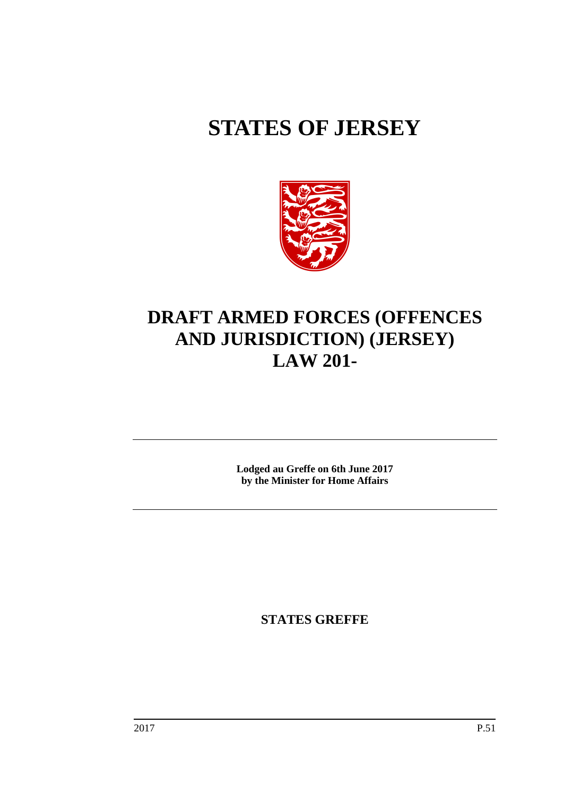# **STATES OF JERSEY**



# **DRAFT ARMED FORCES (OFFENCES AND JURISDICTION) (JERSEY) LAW 201-**

**Lodged au Greffe on 6th June 2017 by the Minister for Home Affairs**

**STATES GREFFE**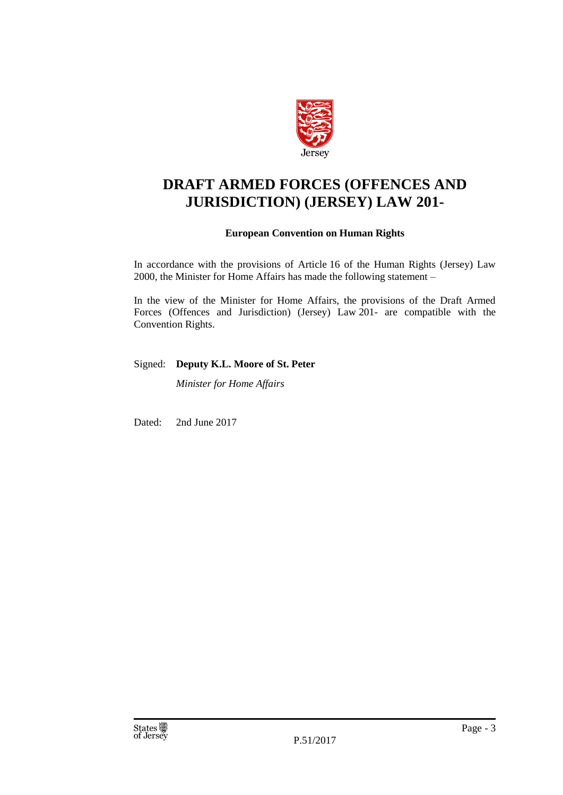

# **DRAFT ARMED FORCES (OFFENCES AND JURISDICTION) (JERSEY) LAW 201-**

#### **European Convention on Human Rights**

In accordance with the provisions of Article 16 of the Human Rights (Jersey) Law 2000, the Minister for Home Affairs has made the following statement –

In the view of the Minister for Home Affairs, the provisions of the Draft Armed Forces (Offences and Jurisdiction) (Jersey) Law 201- are compatible with the Convention Rights.

#### Signed: **Deputy K.L. Moore of St. Peter**

*Minister for Home Affairs*

Dated: 2nd June 2017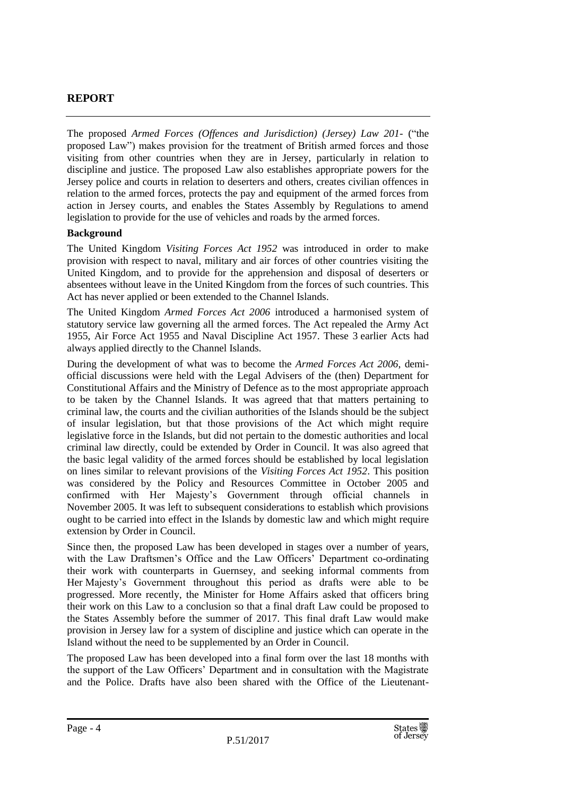## **REPORT**

The proposed *Armed Forces (Offences and Jurisdiction) (Jersey) Law 201-* ("the proposed Law") makes provision for the treatment of British armed forces and those visiting from other countries when they are in Jersey, particularly in relation to discipline and justice. The proposed Law also establishes appropriate powers for the Jersey police and courts in relation to deserters and others, creates civilian offences in relation to the armed forces, protects the pay and equipment of the armed forces from action in Jersey courts, and enables the States Assembly by Regulations to amend legislation to provide for the use of vehicles and roads by the armed forces.

#### **Background**

The United Kingdom *Visiting Forces Act 1952* was introduced in order to make provision with respect to naval, military and air forces of other countries visiting the United Kingdom, and to provide for the apprehension and disposal of deserters or absentees without leave in the United Kingdom from the forces of such countries. This Act has never applied or been extended to the Channel Islands.

The United Kingdom *Armed Forces Act 2006* introduced a harmonised system of statutory service law governing all the armed forces. The Act repealed the Army Act 1955, Air Force Act 1955 and Naval Discipline Act 1957. These 3 earlier Acts had always applied directly to the Channel Islands.

During the development of what was to become the *Armed Forces Act 2006*, demiofficial discussions were held with the Legal Advisers of the (then) Department for Constitutional Affairs and the Ministry of Defence as to the most appropriate approach to be taken by the Channel Islands. It was agreed that that matters pertaining to criminal law, the courts and the civilian authorities of the Islands should be the subject of insular legislation, but that those provisions of the Act which might require legislative force in the Islands, but did not pertain to the domestic authorities and local criminal law directly, could be extended by Order in Council. It was also agreed that the basic legal validity of the armed forces should be established by local legislation on lines similar to relevant provisions of the *Visiting Forces Act 1952*. This position was considered by the Policy and Resources Committee in October 2005 and confirmed with Her Majesty's Government through official channels in November 2005. It was left to subsequent considerations to establish which provisions ought to be carried into effect in the Islands by domestic law and which might require extension by Order in Council.

Since then, the proposed Law has been developed in stages over a number of years, with the Law Draftsmen's Office and the Law Officers' Department co-ordinating their work with counterparts in Guernsey, and seeking informal comments from Her Majesty's Government throughout this period as drafts were able to be progressed. More recently, the Minister for Home Affairs asked that officers bring their work on this Law to a conclusion so that a final draft Law could be proposed to the States Assembly before the summer of 2017. This final draft Law would make provision in Jersey law for a system of discipline and justice which can operate in the Island without the need to be supplemented by an Order in Council.

The proposed Law has been developed into a final form over the last 18 months with the support of the Law Officers' Department and in consultation with the Magistrate and the Police. Drafts have also been shared with the Office of the Lieutenant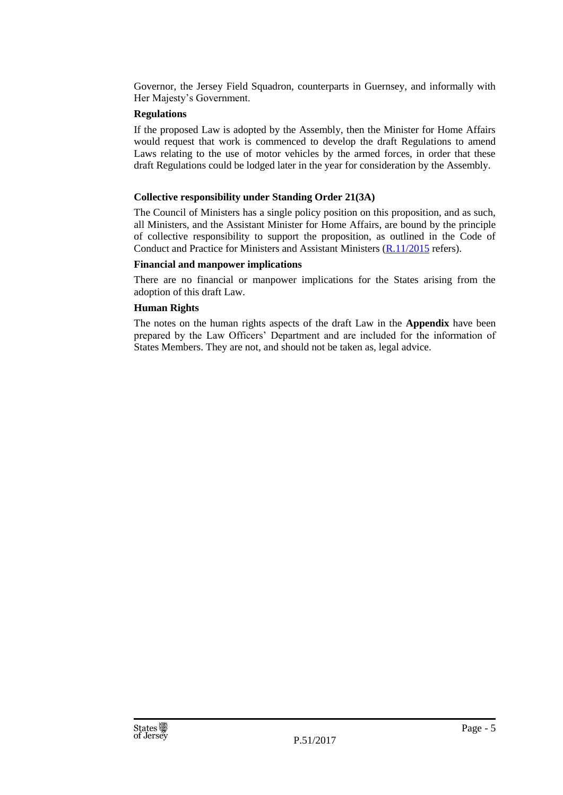Governor, the Jersey Field Squadron, counterparts in Guernsey, and informally with Her Majesty's Government.

#### **Regulations**

If the proposed Law is adopted by the Assembly, then the Minister for Home Affairs would request that work is commenced to develop the draft Regulations to amend Laws relating to the use of motor vehicles by the armed forces, in order that these draft Regulations could be lodged later in the year for consideration by the Assembly.

#### **Collective responsibility under Standing Order 21(3A)**

The Council of Ministers has a single policy position on this proposition, and as such, all Ministers, and the Assistant Minister for Home Affairs, are bound by the principle of collective responsibility to support the proposition, as outlined in the Code of Conduct and Practice for Ministers and Assistant Ministers [\(R.11/2015](http://www.statesassembly.gov.je/AssemblyReports/2015/R.11-2015.pdf) refers).

#### **Financial and manpower implications**

There are no financial or manpower implications for the States arising from the adoption of this draft Law.

#### **Human Rights**

The notes on the human rights aspects of the draft Law in the **Appendix** have been prepared by the Law Officers' Department and are included for the information of States Members. They are not, and should not be taken as, legal advice.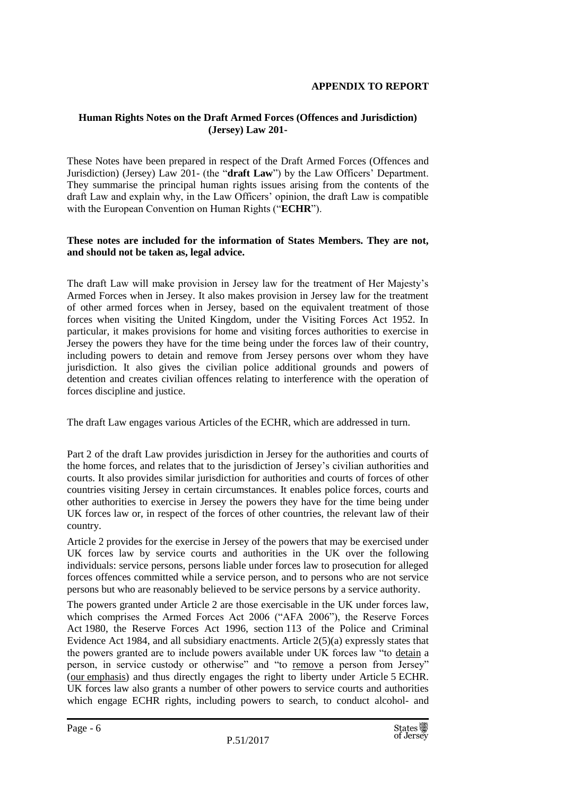#### **APPENDIX TO REPORT**

#### **Human Rights Notes on the Draft Armed Forces (Offences and Jurisdiction) (Jersey) Law 201-**

These Notes have been prepared in respect of the Draft Armed Forces (Offences and Jurisdiction) (Jersey) Law 201- (the "**draft Law**") by the Law Officers' Department. They summarise the principal human rights issues arising from the contents of the draft Law and explain why, in the Law Officers' opinion, the draft Law is compatible with the European Convention on Human Rights ("**ECHR**").

#### **These notes are included for the information of States Members. They are not, and should not be taken as, legal advice.**

The draft Law will make provision in Jersey law for the treatment of Her Majesty's Armed Forces when in Jersey. It also makes provision in Jersey law for the treatment of other armed forces when in Jersey, based on the equivalent treatment of those forces when visiting the United Kingdom, under the Visiting Forces Act 1952. In particular, it makes provisions for home and visiting forces authorities to exercise in Jersey the powers they have for the time being under the forces law of their country, including powers to detain and remove from Jersey persons over whom they have jurisdiction. It also gives the civilian police additional grounds and powers of detention and creates civilian offences relating to interference with the operation of forces discipline and justice.

The draft Law engages various Articles of the ECHR, which are addressed in turn.

Part 2 of the draft Law provides jurisdiction in Jersey for the authorities and courts of the home forces, and relates that to the jurisdiction of Jersey's civilian authorities and courts. It also provides similar jurisdiction for authorities and courts of forces of other countries visiting Jersey in certain circumstances. It enables police forces, courts and other authorities to exercise in Jersey the powers they have for the time being under UK forces law or, in respect of the forces of other countries, the relevant law of their country.

Article 2 provides for the exercise in Jersey of the powers that may be exercised under UK forces law by service courts and authorities in the UK over the following individuals: service persons, persons liable under forces law to prosecution for alleged forces offences committed while a service person, and to persons who are not service persons but who are reasonably believed to be service persons by a service authority.

The powers granted under Article 2 are those exercisable in the UK under forces law, which comprises the Armed Forces Act 2006 ("AFA 2006"), the Reserve Forces Act 1980, the Reserve Forces Act 1996, section 113 of the Police and Criminal Evidence Act 1984, and all subsidiary enactments. Article 2(5)(a) expressly states that the powers granted are to include powers available under UK forces law "to detain a person, in service custody or otherwise" and "to remove a person from Jersey" (our emphasis) and thus directly engages the right to liberty under Article 5 ECHR. UK forces law also grants a number of other powers to service courts and authorities which engage ECHR rights, including powers to search, to conduct alcohol- and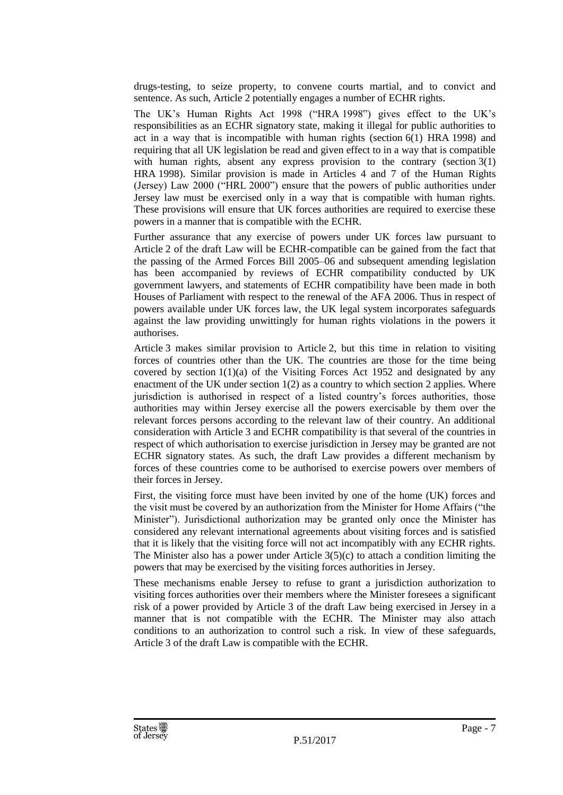drugs-testing, to seize property, to convene courts martial, and to convict and sentence. As such, Article 2 potentially engages a number of ECHR rights.

The UK's Human Rights Act 1998 ("HRA 1998") gives effect to the UK's responsibilities as an ECHR signatory state, making it illegal for public authorities to act in a way that is incompatible with human rights (section 6(1) HRA 1998) and requiring that all UK legislation be read and given effect to in a way that is compatible with human rights, absent any express provision to the contrary (section  $3(1)$ ) HRA 1998). Similar provision is made in Articles 4 and 7 of the Human Rights (Jersey) Law 2000 ("HRL 2000") ensure that the powers of public authorities under Jersey law must be exercised only in a way that is compatible with human rights. These provisions will ensure that UK forces authorities are required to exercise these powers in a manner that is compatible with the ECHR.

Further assurance that any exercise of powers under UK forces law pursuant to Article 2 of the draft Law will be ECHR-compatible can be gained from the fact that the passing of the Armed Forces Bill 2005–06 and subsequent amending legislation has been accompanied by reviews of ECHR compatibility conducted by UK government lawyers, and statements of ECHR compatibility have been made in both Houses of Parliament with respect to the renewal of the AFA 2006. Thus in respect of powers available under UK forces law, the UK legal system incorporates safeguards against the law providing unwittingly for human rights violations in the powers it authorises.

Article 3 makes similar provision to Article 2, but this time in relation to visiting forces of countries other than the UK. The countries are those for the time being covered by section  $1(1)(a)$  of the Visiting Forces Act 1952 and designated by any enactment of the UK under section  $1(2)$  as a country to which section 2 applies. Where jurisdiction is authorised in respect of a listed country's forces authorities, those authorities may within Jersey exercise all the powers exercisable by them over the relevant forces persons according to the relevant law of their country. An additional consideration with Article 3 and ECHR compatibility is that several of the countries in respect of which authorisation to exercise jurisdiction in Jersey may be granted are not ECHR signatory states. As such, the draft Law provides a different mechanism by forces of these countries come to be authorised to exercise powers over members of their forces in Jersey.

First, the visiting force must have been invited by one of the home (UK) forces and the visit must be covered by an authorization from the Minister for Home Affairs ("the Minister"). Jurisdictional authorization may be granted only once the Minister has considered any relevant international agreements about visiting forces and is satisfied that it is likely that the visiting force will not act incompatibly with any ECHR rights. The Minister also has a power under Article  $3(5)(c)$  to attach a condition limiting the powers that may be exercised by the visiting forces authorities in Jersey.

These mechanisms enable Jersey to refuse to grant a jurisdiction authorization to visiting forces authorities over their members where the Minister foresees a significant risk of a power provided by Article 3 of the draft Law being exercised in Jersey in a manner that is not compatible with the ECHR. The Minister may also attach conditions to an authorization to control such a risk. In view of these safeguards, Article 3 of the draft Law is compatible with the ECHR.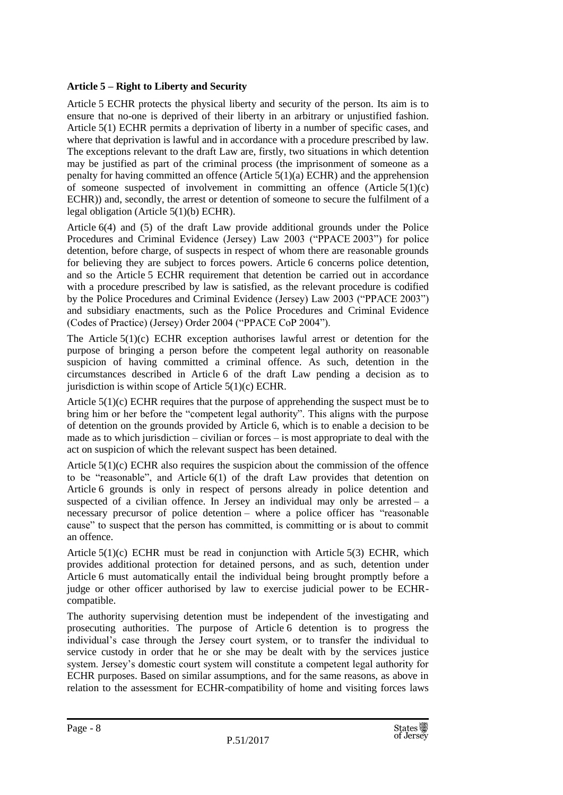#### **Article 5 – Right to Liberty and Security**

Article 5 ECHR protects the physical liberty and security of the person. Its aim is to ensure that no-one is deprived of their liberty in an arbitrary or unjustified fashion. Article 5(1) ECHR permits a deprivation of liberty in a number of specific cases, and where that deprivation is lawful and in accordance with a procedure prescribed by law. The exceptions relevant to the draft Law are, firstly, two situations in which detention may be justified as part of the criminal process (the imprisonment of someone as a penalty for having committed an offence (Article 5(1)(a) ECHR) and the apprehension of someone suspected of involvement in committing an offence (Article  $5(1)(c)$ ) ECHR)) and, secondly, the arrest or detention of someone to secure the fulfilment of a legal obligation (Article 5(1)(b) ECHR).

Article 6(4) and (5) of the draft Law provide additional grounds under the Police Procedures and Criminal Evidence (Jersey) Law 2003 ("PPACE 2003") for police detention, before charge, of suspects in respect of whom there are reasonable grounds for believing they are subject to forces powers. Article 6 concerns police detention, and so the Article 5 ECHR requirement that detention be carried out in accordance with a procedure prescribed by law is satisfied, as the relevant procedure is codified by the Police Procedures and Criminal Evidence (Jersey) Law 2003 ("PPACE 2003") and subsidiary enactments, such as the Police Procedures and Criminal Evidence (Codes of Practice) (Jersey) Order 2004 ("PPACE CoP 2004").

The Article  $5(1)(c)$  ECHR exception authorises lawful arrest or detention for the purpose of bringing a person before the competent legal authority on reasonable suspicion of having committed a criminal offence. As such, detention in the circumstances described in Article 6 of the draft Law pending a decision as to jurisdiction is within scope of Article  $5(1)(c)$  ECHR.

Article  $5(1)(c)$  ECHR requires that the purpose of apprehending the suspect must be to bring him or her before the "competent legal authority". This aligns with the purpose of detention on the grounds provided by Article 6, which is to enable a decision to be made as to which jurisdiction – civilian or forces – is most appropriate to deal with the act on suspicion of which the relevant suspect has been detained.

Article  $5(1)(c)$  ECHR also requires the suspicion about the commission of the offence to be "reasonable", and Article 6(1) of the draft Law provides that detention on Article 6 grounds is only in respect of persons already in police detention and suspected of a civilian offence. In Jersey an individual may only be arrested  $-$  a necessary precursor of police detention – where a police officer has "reasonable cause" to suspect that the person has committed, is committing or is about to commit an offence.

Article  $5(1)(c)$  ECHR must be read in conjunction with Article  $5(3)$  ECHR, which provides additional protection for detained persons, and as such, detention under Article 6 must automatically entail the individual being brought promptly before a judge or other officer authorised by law to exercise judicial power to be ECHRcompatible.

The authority supervising detention must be independent of the investigating and prosecuting authorities. The purpose of Article 6 detention is to progress the individual's case through the Jersey court system, or to transfer the individual to service custody in order that he or she may be dealt with by the services justice system. Jersey's domestic court system will constitute a competent legal authority for ECHR purposes. Based on similar assumptions, and for the same reasons, as above in relation to the assessment for ECHR-compatibility of home and visiting forces laws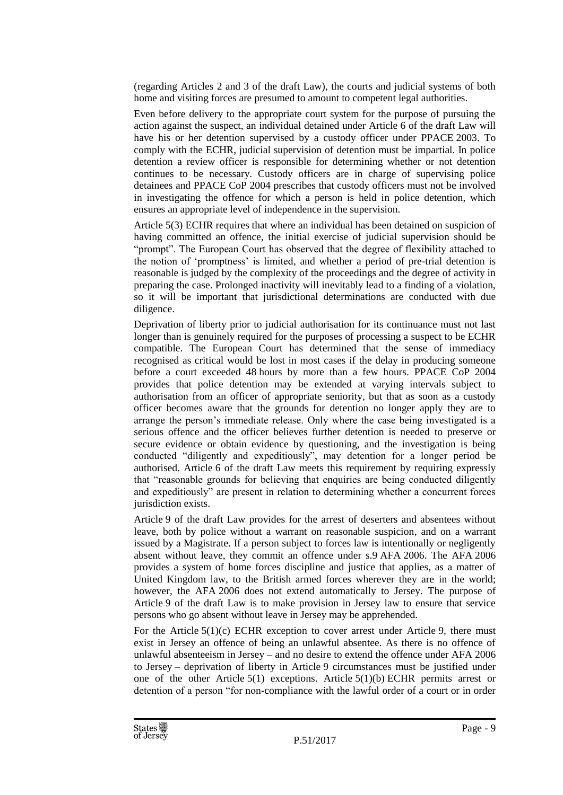(regarding Articles 2 and 3 of the draft Law), the courts and judicial systems of both home and visiting forces are presumed to amount to competent legal authorities.

Even before delivery to the appropriate court system for the purpose of pursuing the action against the suspect, an individual detained under Article 6 of the draft Law will have his or her detention supervised by a custody officer under PPACE 2003. To comply with the ECHR, judicial supervision of detention must be impartial. In police detention a review officer is responsible for determining whether or not detention continues to be necessary. Custody officers are in charge of supervising police detainees and PPACE CoP 2004 prescribes that custody officers must not be involved in investigating the offence for which a person is held in police detention, which ensures an appropriate level of independence in the supervision.

Article 5(3) ECHR requires that where an individual has been detained on suspicion of having committed an offence, the initial exercise of judicial supervision should be "prompt". The European Court has observed that the degree of flexibility attached to the notion of 'promptness' is limited, and whether a period of pre-trial detention is reasonable is judged by the complexity of the proceedings and the degree of activity in preparing the case. Prolonged inactivity will inevitably lead to a finding of a violation, so it will be important that jurisdictional determinations are conducted with due diligence.

Deprivation of liberty prior to judicial authorisation for its continuance must not last longer than is genuinely required for the purposes of processing a suspect to be ECHR compatible. The European Court has determined that the sense of immediacy recognised as critical would be lost in most cases if the delay in producing someone before a court exceeded 48 hours by more than a few hours. PPACE CoP 2004 provides that police detention may be extended at varying intervals subject to authorisation from an officer of appropriate seniority, but that as soon as a custody officer becomes aware that the grounds for detention no longer apply they are to arrange the person's immediate release. Only where the case being investigated is a serious offence and the officer believes further detention is needed to preserve or secure evidence or obtain evidence by questioning, and the investigation is being conducted "diligently and expeditiously", may detention for a longer period be authorised. Article 6 of the draft Law meets this requirement by requiring expressly that "reasonable grounds for believing that enquiries are being conducted diligently and expeditiously" are present in relation to determining whether a concurrent forces jurisdiction exists.

Article 9 of the draft Law provides for the arrest of deserters and absentees without leave, both by police without a warrant on reasonable suspicion, and on a warrant issued by a Magistrate. If a person subject to forces law is intentionally or negligently absent without leave, they commit an offence under s.9 AFA 2006. The AFA 2006 provides a system of home forces discipline and justice that applies, as a matter of United Kingdom law, to the British armed forces wherever they are in the world; however, the AFA 2006 does not extend automatically to Jersey. The purpose of Article 9 of the draft Law is to make provision in Jersey law to ensure that service persons who go absent without leave in Jersey may be apprehended.

For the Article  $5(1)(c)$  ECHR exception to cover arrest under Article 9, there must exist in Jersey an offence of being an unlawful absentee. As there is no offence of unlawful absenteeism in Jersey – and no desire to extend the offence under AFA 2006 to Jersey – deprivation of liberty in Article 9 circumstances must be justified under one of the other Article  $5(1)$  exceptions. Article  $5(1)(b)$  ECHR permits arrest or detention of a person "for non-compliance with the lawful order of a court or in order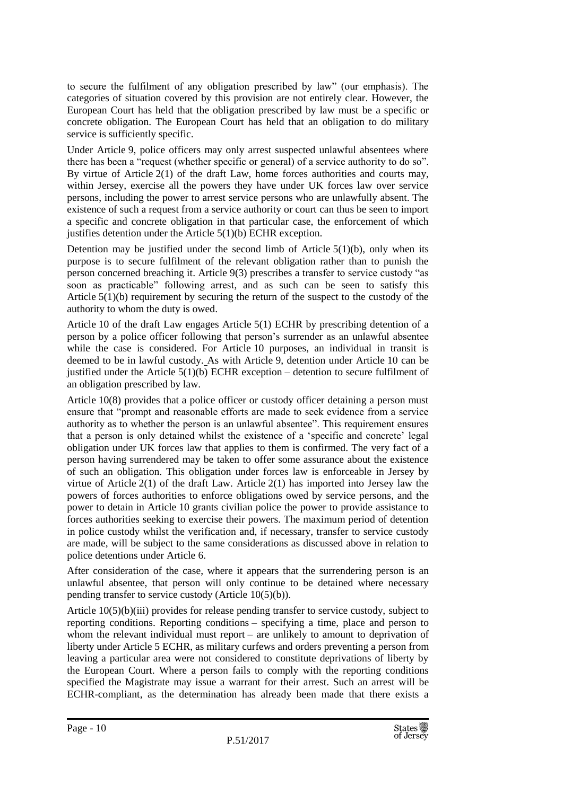to secure the fulfilment of any obligation prescribed by law" (our emphasis). The categories of situation covered by this provision are not entirely clear. However, the European Court has held that the obligation prescribed by law must be a specific or concrete obligation. The European Court has held that an obligation to do military service is sufficiently specific.

Under Article 9, police officers may only arrest suspected unlawful absentees where there has been a "request (whether specific or general) of a service authority to do so". By virtue of Article 2(1) of the draft Law, home forces authorities and courts may, within Jersey, exercise all the powers they have under UK forces law over service persons, including the power to arrest service persons who are unlawfully absent. The existence of such a request from a service authority or court can thus be seen to import a specific and concrete obligation in that particular case, the enforcement of which justifies detention under the Article 5(1)(b) ECHR exception.

Detention may be justified under the second limb of Article  $5(1)(b)$ , only when its purpose is to secure fulfilment of the relevant obligation rather than to punish the person concerned breaching it. Article 9(3) prescribes a transfer to service custody "as soon as practicable" following arrest, and as such can be seen to satisfy this Article  $5(1)(b)$  requirement by securing the return of the suspect to the custody of the authority to whom the duty is owed.

Article 10 of the draft Law engages Article 5(1) ECHR by prescribing detention of a person by a police officer following that person's surrender as an unlawful absentee while the case is considered. For Article 10 purposes, an individual in transit is deemed to be in lawful custody. As with Article 9, detention under Article 10 can be justified under the Article 5(1)(b) ECHR exception – detention to secure fulfilment of an obligation prescribed by law.

Article 10(8) provides that a police officer or custody officer detaining a person must ensure that "prompt and reasonable efforts are made to seek evidence from a service authority as to whether the person is an unlawful absentee". This requirement ensures that a person is only detained whilst the existence of a 'specific and concrete' legal obligation under UK forces law that applies to them is confirmed. The very fact of a person having surrendered may be taken to offer some assurance about the existence of such an obligation. This obligation under forces law is enforceable in Jersey by virtue of Article  $2(1)$  of the draft Law. Article  $2(1)$  has imported into Jersey law the powers of forces authorities to enforce obligations owed by service persons, and the power to detain in Article 10 grants civilian police the power to provide assistance to forces authorities seeking to exercise their powers. The maximum period of detention in police custody whilst the verification and, if necessary, transfer to service custody are made, will be subject to the same considerations as discussed above in relation to police detentions under Article 6.

After consideration of the case, where it appears that the surrendering person is an unlawful absentee, that person will only continue to be detained where necessary pending transfer to service custody (Article 10(5)(b)).

Article 10(5)(b)(iii) provides for release pending transfer to service custody, subject to reporting conditions. Reporting conditions – specifying a time, place and person to whom the relevant individual must report – are unlikely to amount to deprivation of liberty under Article 5 ECHR, as military curfews and orders preventing a person from leaving a particular area were not considered to constitute deprivations of liberty by the European Court. Where a person fails to comply with the reporting conditions specified the Magistrate may issue a warrant for their arrest. Such an arrest will be ECHR-compliant, as the determination has already been made that there exists a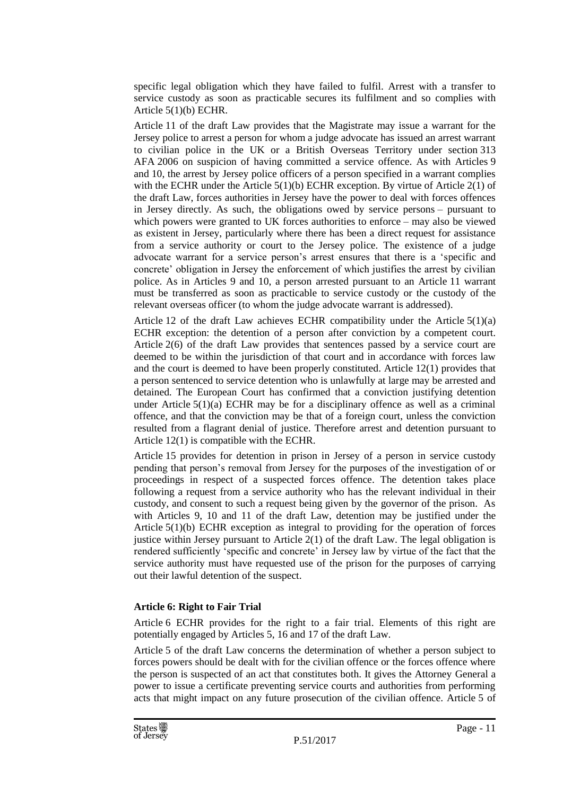specific legal obligation which they have failed to fulfil. Arrest with a transfer to service custody as soon as practicable secures its fulfilment and so complies with Article 5(1)(b) ECHR.

Article 11 of the draft Law provides that the Magistrate may issue a warrant for the Jersey police to arrest a person for whom a judge advocate has issued an arrest warrant to civilian police in the UK or a British Overseas Territory under section 313 AFA 2006 on suspicion of having committed a service offence. As with Articles 9 and 10, the arrest by Jersey police officers of a person specified in a warrant complies with the ECHR under the Article  $5(1)(b)$  ECHR exception. By virtue of Article  $2(1)$  of the draft Law, forces authorities in Jersey have the power to deal with forces offences in Jersey directly. As such, the obligations owed by service persons – pursuant to which powers were granted to UK forces authorities to enforce – may also be viewed as existent in Jersey, particularly where there has been a direct request for assistance from a service authority or court to the Jersey police. The existence of a judge advocate warrant for a service person's arrest ensures that there is a 'specific and concrete' obligation in Jersey the enforcement of which justifies the arrest by civilian police. As in Articles 9 and 10, a person arrested pursuant to an Article 11 warrant must be transferred as soon as practicable to service custody or the custody of the relevant overseas officer (to whom the judge advocate warrant is addressed).

Article 12 of the draft Law achieves ECHR compatibility under the Article  $5(1)(a)$ ECHR exception: the detention of a person after conviction by a competent court. Article 2(6) of the draft Law provides that sentences passed by a service court are deemed to be within the jurisdiction of that court and in accordance with forces law and the court is deemed to have been properly constituted. Article 12(1) provides that a person sentenced to service detention who is unlawfully at large may be arrested and detained. The European Court has confirmed that a conviction justifying detention under Article  $5(1)(a)$  ECHR may be for a disciplinary offence as well as a criminal offence, and that the conviction may be that of a foreign court, unless the conviction resulted from a flagrant denial of justice. Therefore arrest and detention pursuant to Article 12(1) is compatible with the ECHR.

Article 15 provides for detention in prison in Jersey of a person in service custody pending that person's removal from Jersey for the purposes of the investigation of or proceedings in respect of a suspected forces offence. The detention takes place following a request from a service authority who has the relevant individual in their custody, and consent to such a request being given by the governor of the prison. As with Articles 9, 10 and 11 of the draft Law, detention may be justified under the Article 5(1)(b) ECHR exception as integral to providing for the operation of forces justice within Jersey pursuant to Article  $2(1)$  of the draft Law. The legal obligation is rendered sufficiently 'specific and concrete' in Jersey law by virtue of the fact that the service authority must have requested use of the prison for the purposes of carrying out their lawful detention of the suspect.

#### **Article 6: Right to Fair Trial**

Article 6 ECHR provides for the right to a fair trial. Elements of this right are potentially engaged by Articles 5, 16 and 17 of the draft Law.

Article 5 of the draft Law concerns the determination of whether a person subject to forces powers should be dealt with for the civilian offence or the forces offence where the person is suspected of an act that constitutes both. It gives the Attorney General a power to issue a certificate preventing service courts and authorities from performing acts that might impact on any future prosecution of the civilian offence. Article 5 of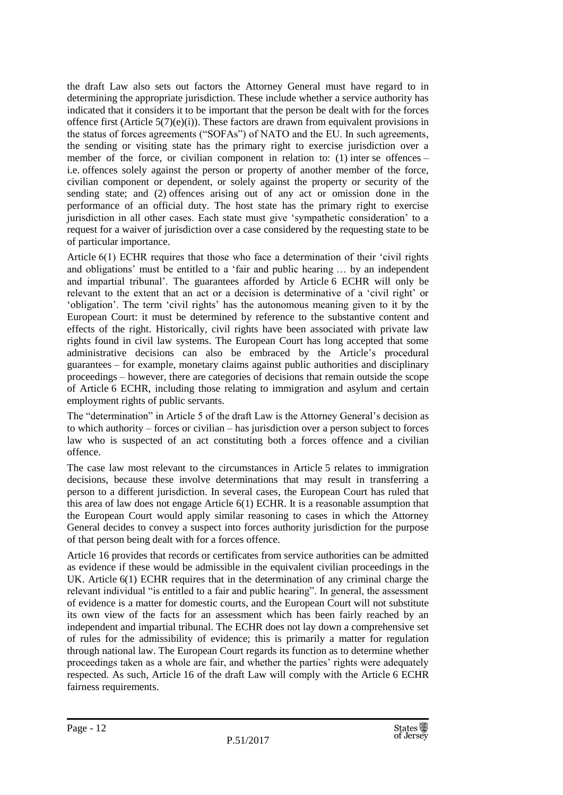the draft Law also sets out factors the Attorney General must have regard to in determining the appropriate jurisdiction. These include whether a service authority has indicated that it considers it to be important that the person be dealt with for the forces offence first (Article  $5(7)(e)(i)$ ). These factors are drawn from equivalent provisions in the status of forces agreements ("SOFAs") of NATO and the EU. In such agreements, the sending or visiting state has the primary right to exercise jurisdiction over a member of the force, or civilian component in relation to: (1) inter se offences – i.e. offences solely against the person or property of another member of the force, civilian component or dependent, or solely against the property or security of the sending state; and (2) offences arising out of any act or omission done in the performance of an official duty. The host state has the primary right to exercise jurisdiction in all other cases. Each state must give 'sympathetic consideration' to a request for a waiver of jurisdiction over a case considered by the requesting state to be of particular importance.

Article 6(1) ECHR requires that those who face a determination of their 'civil rights and obligations' must be entitled to a 'fair and public hearing … by an independent and impartial tribunal'. The guarantees afforded by Article 6 ECHR will only be relevant to the extent that an act or a decision is determinative of a 'civil right' or 'obligation'. The term 'civil rights' has the autonomous meaning given to it by the European Court: it must be determined by reference to the substantive content and effects of the right. Historically, civil rights have been associated with private law rights found in civil law systems. The European Court has long accepted that some administrative decisions can also be embraced by the Article's procedural guarantees – for example, monetary claims against public authorities and disciplinary proceedings – however, there are categories of decisions that remain outside the scope of Article 6 ECHR, including those relating to immigration and asylum and certain employment rights of public servants.

The "determination" in Article 5 of the draft Law is the Attorney General's decision as to which authority – forces or civilian – has jurisdiction over a person subject to forces law who is suspected of an act constituting both a forces offence and a civilian offence.

The case law most relevant to the circumstances in Article 5 relates to immigration decisions, because these involve determinations that may result in transferring a person to a different jurisdiction. In several cases, the European Court has ruled that this area of law does not engage Article 6(1) ECHR. It is a reasonable assumption that the European Court would apply similar reasoning to cases in which the Attorney General decides to convey a suspect into forces authority jurisdiction for the purpose of that person being dealt with for a forces offence.

Article 16 provides that records or certificates from service authorities can be admitted as evidence if these would be admissible in the equivalent civilian proceedings in the UK. Article 6(1) ECHR requires that in the determination of any criminal charge the relevant individual "is entitled to a fair and public hearing". In general, the assessment of evidence is a matter for domestic courts, and the European Court will not substitute its own view of the facts for an assessment which has been fairly reached by an independent and impartial tribunal. The ECHR does not lay down a comprehensive set of rules for the admissibility of evidence; this is primarily a matter for regulation through national law. The European Court regards its function as to determine whether proceedings taken as a whole are fair, and whether the parties' rights were adequately respected. As such, Article 16 of the draft Law will comply with the Article 6 ECHR fairness requirements.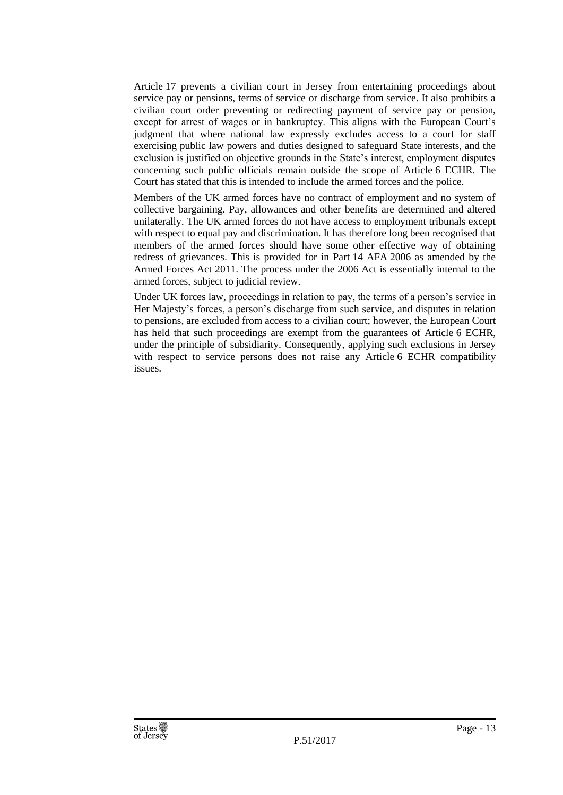Article 17 prevents a civilian court in Jersey from entertaining proceedings about service pay or pensions, terms of service or discharge from service. It also prohibits a civilian court order preventing or redirecting payment of service pay or pension, except for arrest of wages or in bankruptcy. This aligns with the European Court's judgment that where national law expressly excludes access to a court for staff exercising public law powers and duties designed to safeguard State interests, and the exclusion is justified on objective grounds in the State's interest, employment disputes concerning such public officials remain outside the scope of Article 6 ECHR. The Court has stated that this is intended to include the armed forces and the police.

Members of the UK armed forces have no contract of employment and no system of collective bargaining. Pay, allowances and other benefits are determined and altered unilaterally. The UK armed forces do not have access to employment tribunals except with respect to equal pay and discrimination. It has therefore long been recognised that members of the armed forces should have some other effective way of obtaining redress of grievances. This is provided for in Part 14 AFA 2006 as amended by the Armed Forces Act 2011. The process under the 2006 Act is essentially internal to the armed forces, subject to judicial review.

Under UK forces law, proceedings in relation to pay, the terms of a person's service in Her Majesty's forces, a person's discharge from such service, and disputes in relation to pensions, are excluded from access to a civilian court; however, the European Court has held that such proceedings are exempt from the guarantees of Article 6 ECHR, under the principle of subsidiarity. Consequently, applying such exclusions in Jersey with respect to service persons does not raise any Article 6 ECHR compatibility issues.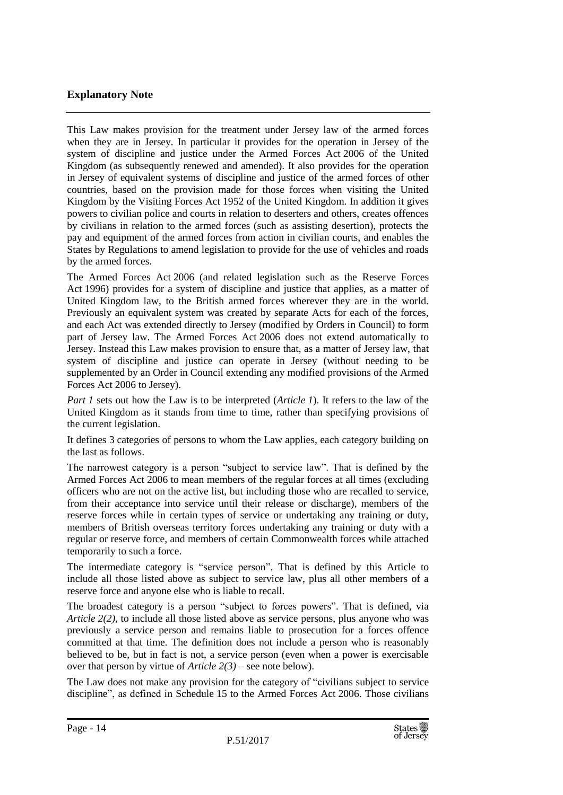## **Explanatory Note**

This Law makes provision for the treatment under Jersey law of the armed forces when they are in Jersey. In particular it provides for the operation in Jersey of the system of discipline and justice under the Armed Forces Act 2006 of the United Kingdom (as subsequently renewed and amended). It also provides for the operation in Jersey of equivalent systems of discipline and justice of the armed forces of other countries, based on the provision made for those forces when visiting the United Kingdom by the Visiting Forces Act 1952 of the United Kingdom. In addition it gives powers to civilian police and courts in relation to deserters and others, creates offences by civilians in relation to the armed forces (such as assisting desertion), protects the pay and equipment of the armed forces from action in civilian courts, and enables the States by Regulations to amend legislation to provide for the use of vehicles and roads by the armed forces.

The Armed Forces Act 2006 (and related legislation such as the Reserve Forces Act 1996) provides for a system of discipline and justice that applies, as a matter of United Kingdom law, to the British armed forces wherever they are in the world. Previously an equivalent system was created by separate Acts for each of the forces, and each Act was extended directly to Jersey (modified by Orders in Council) to form part of Jersey law. The Armed Forces Act 2006 does not extend automatically to Jersey. Instead this Law makes provision to ensure that, as a matter of Jersey law, that system of discipline and justice can operate in Jersey (without needing to be supplemented by an Order in Council extending any modified provisions of the Armed Forces Act 2006 to Jersey).

*Part 1* sets out how the Law is to be interpreted (*Article 1*). It refers to the law of the United Kingdom as it stands from time to time, rather than specifying provisions of the current legislation.

It defines 3 categories of persons to whom the Law applies, each category building on the last as follows.

The narrowest category is a person "subject to service law". That is defined by the Armed Forces Act 2006 to mean members of the regular forces at all times (excluding officers who are not on the active list, but including those who are recalled to service, from their acceptance into service until their release or discharge), members of the reserve forces while in certain types of service or undertaking any training or duty, members of British overseas territory forces undertaking any training or duty with a regular or reserve force, and members of certain Commonwealth forces while attached temporarily to such a force.

The intermediate category is "service person". That is defined by this Article to include all those listed above as subject to service law, plus all other members of a reserve force and anyone else who is liable to recall.

The broadest category is a person "subject to forces powers". That is defined, via *Article 2(2)*, to include all those listed above as service persons, plus anyone who was previously a service person and remains liable to prosecution for a forces offence committed at that time. The definition does not include a person who is reasonably believed to be, but in fact is not, a service person (even when a power is exercisable over that person by virtue of *Article 2(3)* – see note below).

The Law does not make any provision for the category of "civilians subject to service discipline", as defined in Schedule 15 to the Armed Forces Act 2006. Those civilians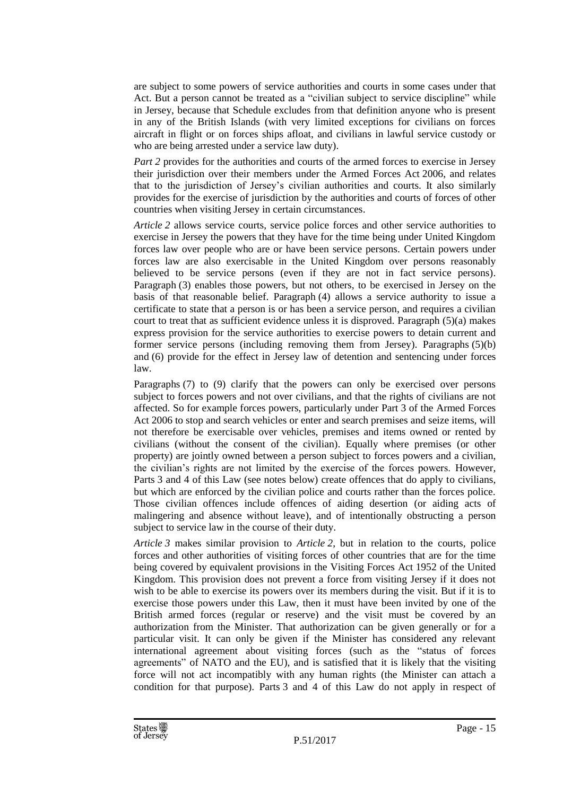are subject to some powers of service authorities and courts in some cases under that Act. But a person cannot be treated as a "civilian subject to service discipline" while in Jersey, because that Schedule excludes from that definition anyone who is present in any of the British Islands (with very limited exceptions for civilians on forces aircraft in flight or on forces ships afloat, and civilians in lawful service custody or who are being arrested under a service law duty).

*Part* 2 provides for the authorities and courts of the armed forces to exercise in Jersey their jurisdiction over their members under the Armed Forces Act 2006, and relates that to the jurisdiction of Jersey's civilian authorities and courts. It also similarly provides for the exercise of jurisdiction by the authorities and courts of forces of other countries when visiting Jersey in certain circumstances.

*Article 2* allows service courts, service police forces and other service authorities to exercise in Jersey the powers that they have for the time being under United Kingdom forces law over people who are or have been service persons. Certain powers under forces law are also exercisable in the United Kingdom over persons reasonably believed to be service persons (even if they are not in fact service persons). Paragraph (3) enables those powers, but not others, to be exercised in Jersey on the basis of that reasonable belief. Paragraph (4) allows a service authority to issue a certificate to state that a person is or has been a service person, and requires a civilian court to treat that as sufficient evidence unless it is disproved. Paragraph  $(5)(a)$  makes express provision for the service authorities to exercise powers to detain current and former service persons (including removing them from Jersey). Paragraphs (5)(b) and (6) provide for the effect in Jersey law of detention and sentencing under forces law.

Paragraphs (7) to (9) clarify that the powers can only be exercised over persons subject to forces powers and not over civilians, and that the rights of civilians are not affected. So for example forces powers, particularly under Part 3 of the Armed Forces Act 2006 to stop and search vehicles or enter and search premises and seize items, will not therefore be exercisable over vehicles, premises and items owned or rented by civilians (without the consent of the civilian). Equally where premises (or other property) are jointly owned between a person subject to forces powers and a civilian, the civilian's rights are not limited by the exercise of the forces powers. However, Parts 3 and 4 of this Law (see notes below) create offences that do apply to civilians, but which are enforced by the civilian police and courts rather than the forces police. Those civilian offences include offences of aiding desertion (or aiding acts of malingering and absence without leave), and of intentionally obstructing a person subject to service law in the course of their duty.

*Article 3* makes similar provision to *Article 2*, but in relation to the courts, police forces and other authorities of visiting forces of other countries that are for the time being covered by equivalent provisions in the Visiting Forces Act 1952 of the United Kingdom. This provision does not prevent a force from visiting Jersey if it does not wish to be able to exercise its powers over its members during the visit. But if it is to exercise those powers under this Law, then it must have been invited by one of the British armed forces (regular or reserve) and the visit must be covered by an authorization from the Minister. That authorization can be given generally or for a particular visit. It can only be given if the Minister has considered any relevant international agreement about visiting forces (such as the "status of forces agreements" of NATO and the EU), and is satisfied that it is likely that the visiting force will not act incompatibly with any human rights (the Minister can attach a condition for that purpose). Parts 3 and 4 of this Law do not apply in respect of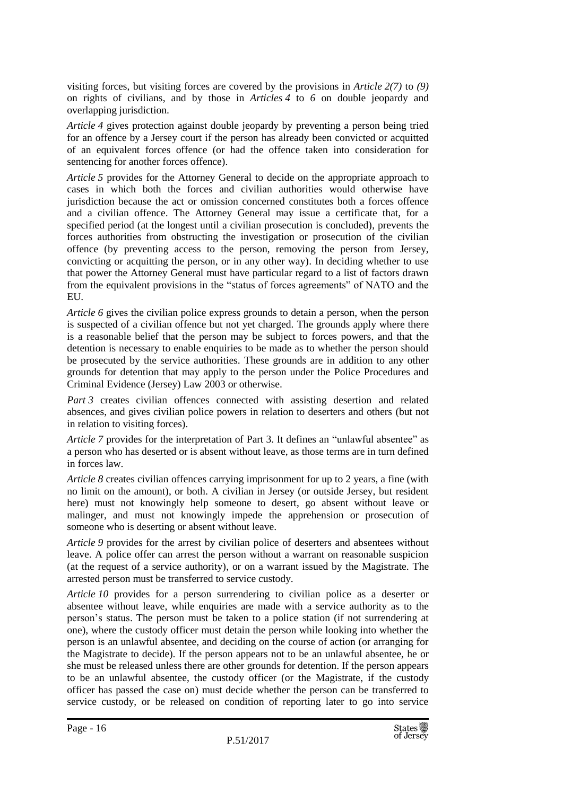visiting forces, but visiting forces are covered by the provisions in *Article 2(7)* to *(9)* on rights of civilians, and by those in *Articles 4* to *6* on double jeopardy and overlapping jurisdiction.

*Article 4* gives protection against double jeopardy by preventing a person being tried for an offence by a Jersey court if the person has already been convicted or acquitted of an equivalent forces offence (or had the offence taken into consideration for sentencing for another forces offence).

*Article 5* provides for the Attorney General to decide on the appropriate approach to cases in which both the forces and civilian authorities would otherwise have jurisdiction because the act or omission concerned constitutes both a forces offence and a civilian offence. The Attorney General may issue a certificate that, for a specified period (at the longest until a civilian prosecution is concluded), prevents the forces authorities from obstructing the investigation or prosecution of the civilian offence (by preventing access to the person, removing the person from Jersey, convicting or acquitting the person, or in any other way). In deciding whether to use that power the Attorney General must have particular regard to a list of factors drawn from the equivalent provisions in the "status of forces agreements" of NATO and the EU.

*Article 6* gives the civilian police express grounds to detain a person, when the person is suspected of a civilian offence but not yet charged. The grounds apply where there is a reasonable belief that the person may be subject to forces powers, and that the detention is necessary to enable enquiries to be made as to whether the person should be prosecuted by the service authorities. These grounds are in addition to any other grounds for detention that may apply to the person under the Police Procedures and Criminal Evidence (Jersey) Law 2003 or otherwise.

*Part 3* creates civilian offences connected with assisting desertion and related absences, and gives civilian police powers in relation to deserters and others (but not in relation to visiting forces).

*Article 7* provides for the interpretation of Part 3. It defines an "unlawful absentee" as a person who has deserted or is absent without leave, as those terms are in turn defined in forces law.

*Article 8* creates civilian offences carrying imprisonment for up to 2 years, a fine (with no limit on the amount), or both. A civilian in Jersey (or outside Jersey, but resident here) must not knowingly help someone to desert, go absent without leave or malinger, and must not knowingly impede the apprehension or prosecution of someone who is deserting or absent without leave.

*Article 9* provides for the arrest by civilian police of deserters and absentees without leave. A police offer can arrest the person without a warrant on reasonable suspicion (at the request of a service authority), or on a warrant issued by the Magistrate. The arrested person must be transferred to service custody.

*Article 10* provides for a person surrendering to civilian police as a deserter or absentee without leave, while enquiries are made with a service authority as to the person's status. The person must be taken to a police station (if not surrendering at one), where the custody officer must detain the person while looking into whether the person is an unlawful absentee, and deciding on the course of action (or arranging for the Magistrate to decide). If the person appears not to be an unlawful absentee, he or she must be released unless there are other grounds for detention. If the person appears to be an unlawful absentee, the custody officer (or the Magistrate, if the custody officer has passed the case on) must decide whether the person can be transferred to service custody, or be released on condition of reporting later to go into service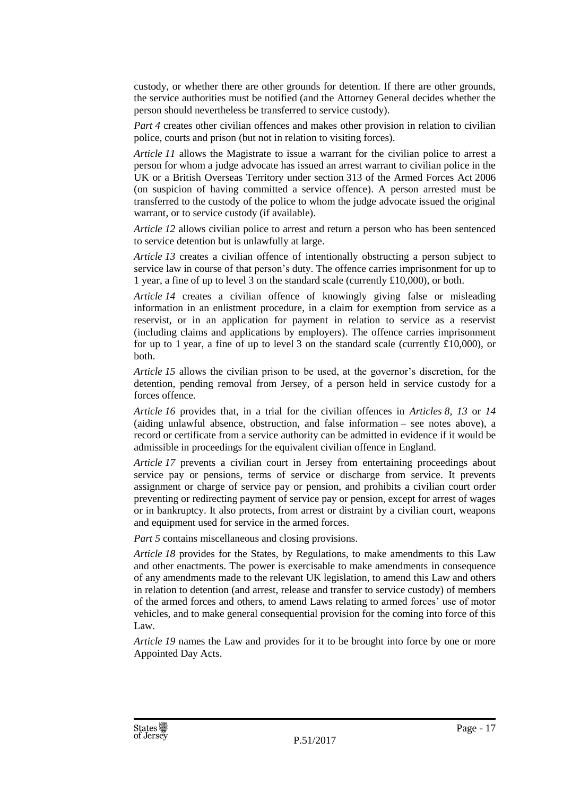custody, or whether there are other grounds for detention. If there are other grounds, the service authorities must be notified (and the Attorney General decides whether the person should nevertheless be transferred to service custody).

*Part* 4 creates other civilian offences and makes other provision in relation to civilian police, courts and prison (but not in relation to visiting forces).

*Article 11* allows the Magistrate to issue a warrant for the civilian police to arrest a person for whom a judge advocate has issued an arrest warrant to civilian police in the UK or a British Overseas Territory under section 313 of the Armed Forces Act 2006 (on suspicion of having committed a service offence). A person arrested must be transferred to the custody of the police to whom the judge advocate issued the original warrant, or to service custody (if available).

*Article 12* allows civilian police to arrest and return a person who has been sentenced to service detention but is unlawfully at large.

*Article 13* creates a civilian offence of intentionally obstructing a person subject to service law in course of that person's duty. The offence carries imprisonment for up to 1 year, a fine of up to level 3 on the standard scale (currently £10,000), or both.

*Article 14* creates a civilian offence of knowingly giving false or misleading information in an enlistment procedure, in a claim for exemption from service as a reservist, or in an application for payment in relation to service as a reservist (including claims and applications by employers). The offence carries imprisonment for up to 1 year, a fine of up to level 3 on the standard scale (currently £10,000), or both.

*Article 15* allows the civilian prison to be used, at the governor's discretion, for the detention, pending removal from Jersey, of a person held in service custody for a forces offence.

*Article 16* provides that, in a trial for the civilian offences in *Articles 8, 13* or *14* (aiding unlawful absence, obstruction, and false information – see notes above), a record or certificate from a service authority can be admitted in evidence if it would be admissible in proceedings for the equivalent civilian offence in England.

*Article* 17 prevents a civilian court in Jersey from entertaining proceedings about service pay or pensions, terms of service or discharge from service. It prevents assignment or charge of service pay or pension, and prohibits a civilian court order preventing or redirecting payment of service pay or pension, except for arrest of wages or in bankruptcy. It also protects, from arrest or distraint by a civilian court, weapons and equipment used for service in the armed forces.

*Part 5* contains miscellaneous and closing provisions.

*Article 18* provides for the States, by Regulations, to make amendments to this Law and other enactments. The power is exercisable to make amendments in consequence of any amendments made to the relevant UK legislation, to amend this Law and others in relation to detention (and arrest, release and transfer to service custody) of members of the armed forces and others, to amend Laws relating to armed forces' use of motor vehicles, and to make general consequential provision for the coming into force of this Law.

*Article 19* names the Law and provides for it to be brought into force by one or more Appointed Day Acts.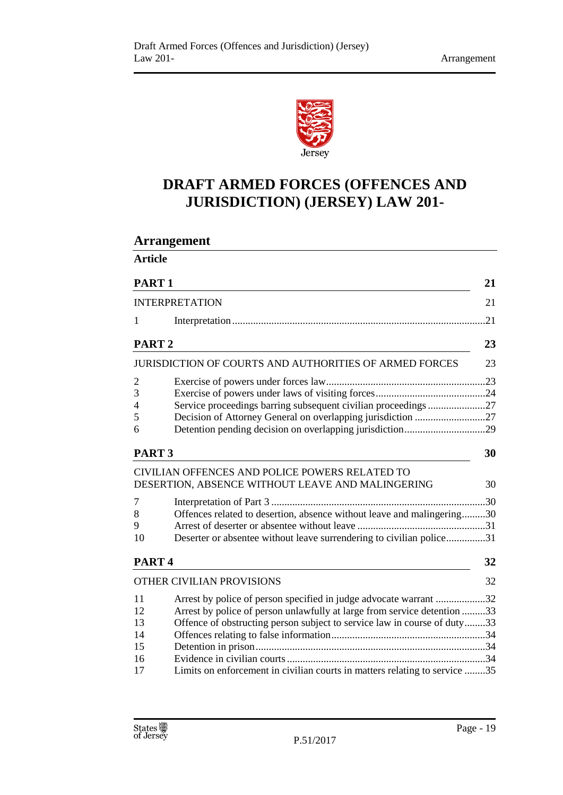

# **DRAFT ARMED FORCES (OFFENCES AND JURISDICTION) (JERSEY) LAW 201-**

**Arrangement**

| <b>Article</b>                         |                                                                                                                                                                                                                                                                                                         |           |  |
|----------------------------------------|---------------------------------------------------------------------------------------------------------------------------------------------------------------------------------------------------------------------------------------------------------------------------------------------------------|-----------|--|
| PART <sub>1</sub>                      |                                                                                                                                                                                                                                                                                                         | 21        |  |
|                                        | <b>INTERPRETATION</b>                                                                                                                                                                                                                                                                                   | 21        |  |
| 1                                      |                                                                                                                                                                                                                                                                                                         | .21       |  |
| PART <sub>2</sub>                      |                                                                                                                                                                                                                                                                                                         | 23        |  |
|                                        | <b>JURISDICTION OF COURTS AND AUTHORITIES OF ARMED FORCES</b>                                                                                                                                                                                                                                           | 23        |  |
| $\overline{2}$<br>3<br>4<br>5<br>6     | Service proceedings barring subsequent civilian proceedings27                                                                                                                                                                                                                                           |           |  |
| PART <sub>3</sub>                      |                                                                                                                                                                                                                                                                                                         |           |  |
| 7<br>8<br>9                            | CIVILIAN OFFENCES AND POLICE POWERS RELATED TO<br>DESERTION, ABSENCE WITHOUT LEAVE AND MALINGERING<br>Offences related to desertion, absence without leave and malingering30                                                                                                                            | 30<br>.30 |  |
| 10                                     | Deserter or absentee without leave surrendering to civilian police31                                                                                                                                                                                                                                    |           |  |
| PART <sub>4</sub>                      |                                                                                                                                                                                                                                                                                                         | 32        |  |
|                                        | OTHER CIVILIAN PROVISIONS                                                                                                                                                                                                                                                                               | 32        |  |
| 11<br>12<br>13<br>14<br>15<br>16<br>17 | Arrest by police of person specified in judge advocate warrant 32<br>Arrest by police of person unlawfully at large from service detention 33<br>Offence of obstructing person subject to service law in course of duty33<br>Limits on enforcement in civilian courts in matters relating to service 35 |           |  |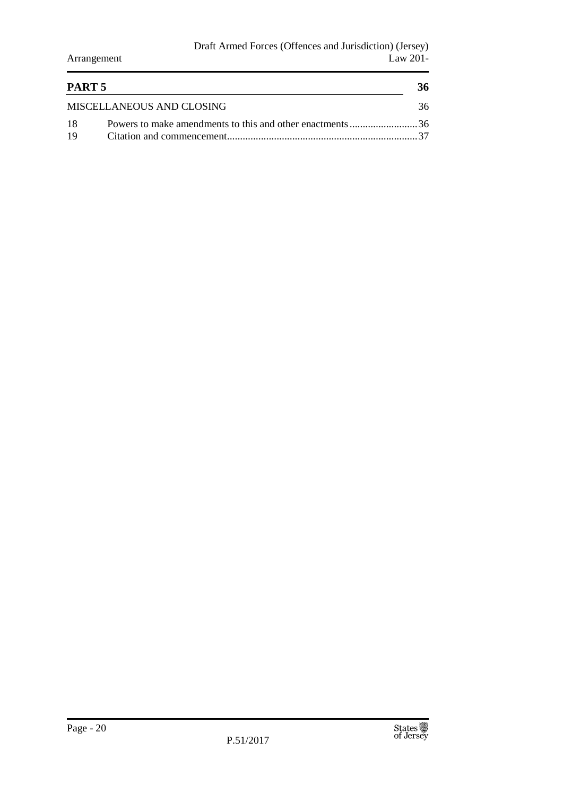| PART 5                    |  |    |
|---------------------------|--|----|
| MISCELLANEOUS AND CLOSING |  | 36 |
| -18                       |  |    |
| -19                       |  |    |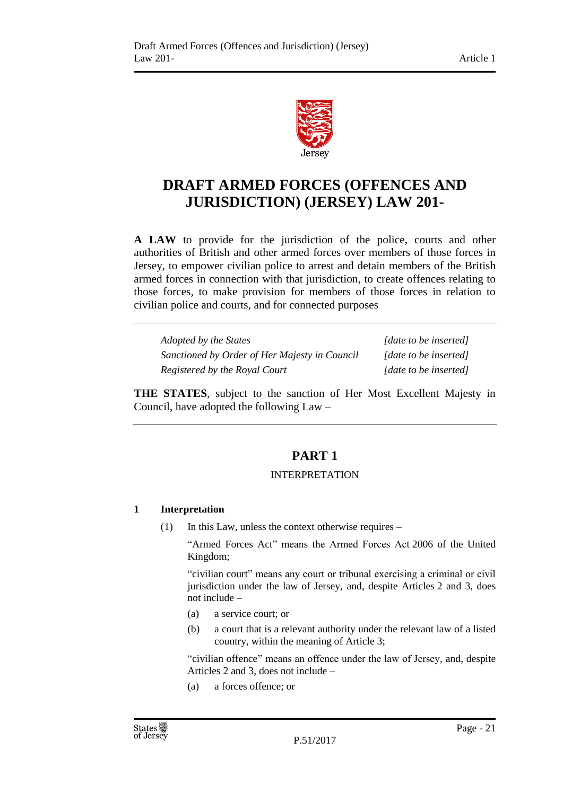

# **DRAFT ARMED FORCES (OFFENCES AND JURISDICTION) (JERSEY) LAW 201-**

**A LAW** to provide for the jurisdiction of the police, courts and other authorities of British and other armed forces over members of those forces in Jersey, to empower civilian police to arrest and detain members of the British armed forces in connection with that jurisdiction, to create offences relating to those forces, to make provision for members of those forces in relation to civilian police and courts, and for connected purposes

| Adopted by the States                         | [date to be inserted] |
|-----------------------------------------------|-----------------------|
| Sanctioned by Order of Her Majesty in Council | [date to be inserted] |
| Registered by the Royal Court                 | [date to be inserted] |

<span id="page-20-0"></span>**THE STATES**, subject to the sanction of Her Most Excellent Majesty in Council, have adopted the following Law –

# **PART 1**

#### INTERPRETATION

## <span id="page-20-2"></span><span id="page-20-1"></span>**1 Interpretation**

(1) In this Law, unless the context otherwise requires –

"Armed Forces Act" means the Armed Forces Act 2006 of the United Kingdom;

"civilian court" means any court or tribunal exercising a criminal or civil jurisdiction under the law of Jersey, and, despite Articles 2 and 3, does not include –

- (a) a service court; or
- (b) a court that is a relevant authority under the relevant law of a listed country, within the meaning of Article 3;

"civilian offence" means an offence under the law of Jersey, and, despite Articles 2 and 3, does not include –

(a) a forces offence; or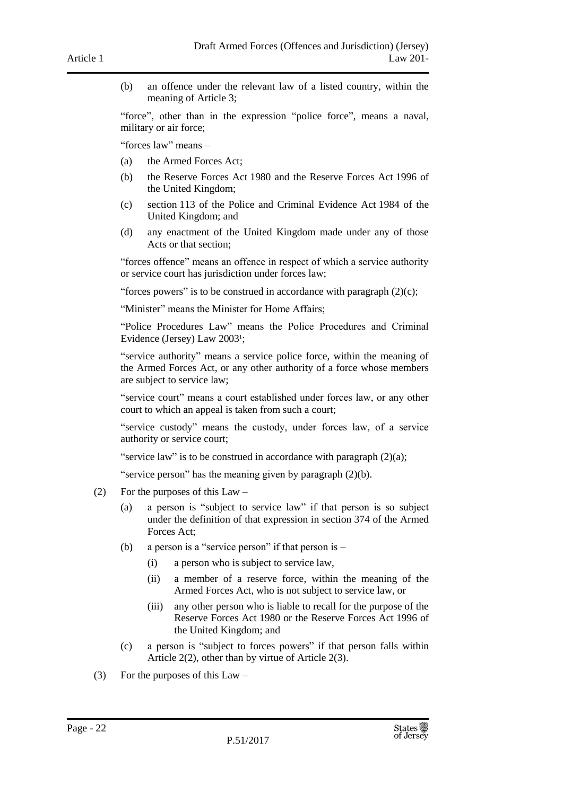(b) an offence under the relevant law of a listed country, within the meaning of Article 3;

"force", other than in the expression "police force", means a naval, military or air force;

"forces law" means –

- (a) the Armed Forces Act;
- (b) the Reserve Forces Act 1980 and the Reserve Forces Act 1996 of the United Kingdom;
- (c) section 113 of the Police and Criminal Evidence Act 1984 of the United Kingdom; and
- (d) any enactment of the United Kingdom made under any of those Acts or that section;

"forces offence" means an offence in respect of which a service authority or service court has jurisdiction under forces law;

"forces powers" is to be construed in accordance with paragraph  $(2)(c)$ ;

"Minister" means the Minister for Home Affairs;

"Police Procedures Law" means the Police Procedures and Criminal Evidence (Jersey) Law 2003<sup>1</sup> ;

"service authority" means a service police force, within the meaning of the Armed Forces Act, or any other authority of a force whose members are subject to service law;

"service court" means a court established under forces law, or any other court to which an appeal is taken from such a court;

"service custody" means the custody, under forces law, of a service authority or service court;

"service law" is to be construed in accordance with paragraph  $(2)(a)$ ;

"service person" has the meaning given by paragraph (2)(b).

- (2) For the purposes of this Law
	- (a) a person is "subject to service law" if that person is so subject under the definition of that expression in section 374 of the Armed Forces Act;
	- (b) a person is a "service person" if that person is
		- (i) a person who is subject to service law,
		- (ii) a member of a reserve force, within the meaning of the Armed Forces Act, who is not subject to service law, or
		- (iii) any other person who is liable to recall for the purpose of the Reserve Forces Act 1980 or the Reserve Forces Act 1996 of the United Kingdom; and
	- (c) a person is "subject to forces powers" if that person falls within Article 2(2), other than by virtue of Article 2(3).
- (3) For the purposes of this Law –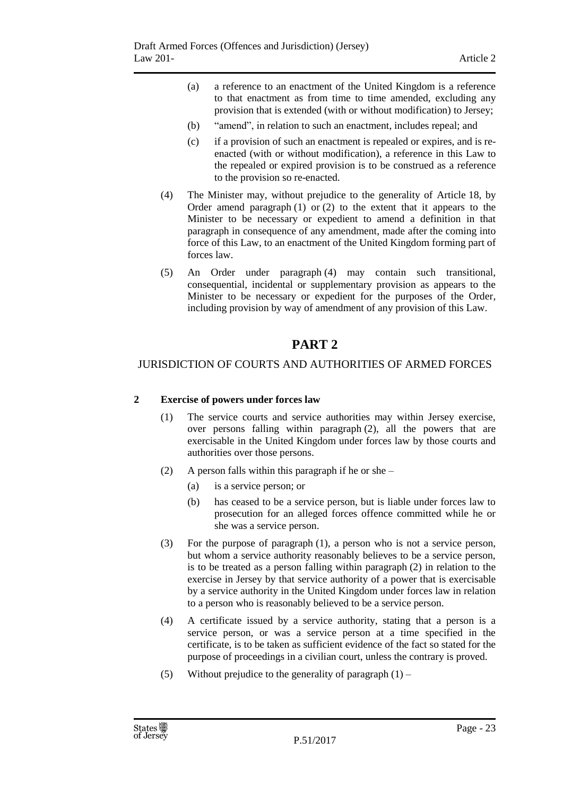- (a) a reference to an enactment of the United Kingdom is a reference to that enactment as from time to time amended, excluding any provision that is extended (with or without modification) to Jersey;
- (b) "amend", in relation to such an enactment, includes repeal; and
- (c) if a provision of such an enactment is repealed or expires, and is reenacted (with or without modification), a reference in this Law to the repealed or expired provision is to be construed as a reference to the provision so re-enacted.
- (4) The Minister may, without prejudice to the generality of Article 18, by Order amend paragraph (1) or (2) to the extent that it appears to the Minister to be necessary or expedient to amend a definition in that paragraph in consequence of any amendment, made after the coming into force of this Law, to an enactment of the United Kingdom forming part of forces law.
- (5) An Order under paragraph (4) may contain such transitional, consequential, incidental or supplementary provision as appears to the Minister to be necessary or expedient for the purposes of the Order, including provision by way of amendment of any provision of this Law.

## **PART 2**

#### <span id="page-22-2"></span><span id="page-22-1"></span><span id="page-22-0"></span>JURISDICTION OF COURTS AND AUTHORITIES OF ARMED FORCES

#### **2 Exercise of powers under forces law**

- (1) The service courts and service authorities may within Jersey exercise, over persons falling within paragraph (2), all the powers that are exercisable in the United Kingdom under forces law by those courts and authorities over those persons.
- (2) A person falls within this paragraph if he or she
	- (a) is a service person; or
	- (b) has ceased to be a service person, but is liable under forces law to prosecution for an alleged forces offence committed while he or she was a service person.
- (3) For the purpose of paragraph (1), a person who is not a service person, but whom a service authority reasonably believes to be a service person, is to be treated as a person falling within paragraph (2) in relation to the exercise in Jersey by that service authority of a power that is exercisable by a service authority in the United Kingdom under forces law in relation to a person who is reasonably believed to be a service person.
- (4) A certificate issued by a service authority, stating that a person is a service person, or was a service person at a time specified in the certificate, is to be taken as sufficient evidence of the fact so stated for the purpose of proceedings in a civilian court, unless the contrary is proved.
- (5) Without prejudice to the generality of paragraph  $(1)$  –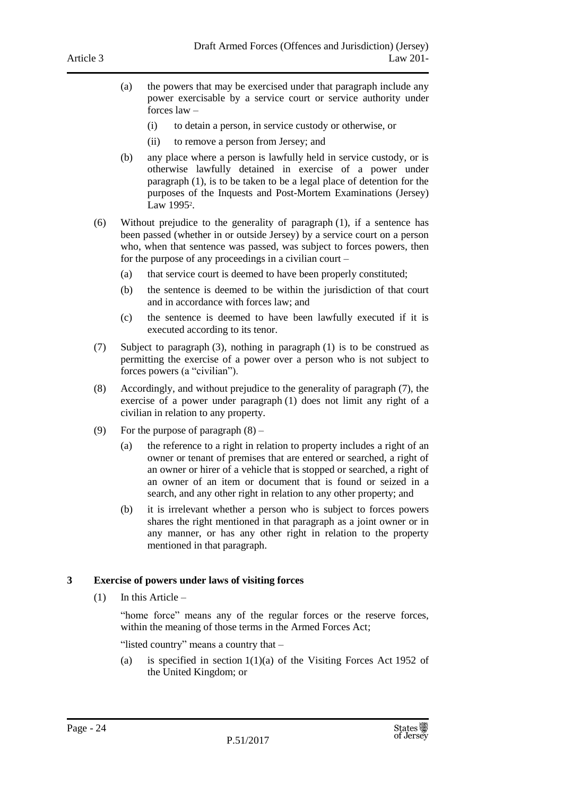- (a) the powers that may be exercised under that paragraph include any power exercisable by a service court or service authority under forces law –
	- (i) to detain a person, in service custody or otherwise, or
	- (ii) to remove a person from Jersey; and
- (b) any place where a person is lawfully held in service custody, or is otherwise lawfully detained in exercise of a power under paragraph (1), is to be taken to be a legal place of detention for the purposes of the Inquests and Post-Mortem Examinations (Jersey) Law 1995<sup>2</sup>.
- (6) Without prejudice to the generality of paragraph (1), if a sentence has been passed (whether in or outside Jersey) by a service court on a person who, when that sentence was passed, was subject to forces powers, then for the purpose of any proceedings in a civilian court –
	- (a) that service court is deemed to have been properly constituted;
	- (b) the sentence is deemed to be within the jurisdiction of that court and in accordance with forces law; and
	- (c) the sentence is deemed to have been lawfully executed if it is executed according to its tenor.
- (7) Subject to paragraph (3), nothing in paragraph (1) is to be construed as permitting the exercise of a power over a person who is not subject to forces powers (a "civilian").
- (8) Accordingly, and without prejudice to the generality of paragraph (7), the exercise of a power under paragraph (1) does not limit any right of a civilian in relation to any property.
- (9) For the purpose of paragraph (8)
	- (a) the reference to a right in relation to property includes a right of an owner or tenant of premises that are entered or searched, a right of an owner or hirer of a vehicle that is stopped or searched, a right of an owner of an item or document that is found or seized in a search, and any other right in relation to any other property; and
	- (b) it is irrelevant whether a person who is subject to forces powers shares the right mentioned in that paragraph as a joint owner or in any manner, or has any other right in relation to the property mentioned in that paragraph.

#### <span id="page-23-0"></span>**3 Exercise of powers under laws of visiting forces**

 $(1)$  In this Article –

"home force" means any of the regular forces or the reserve forces, within the meaning of those terms in the Armed Forces Act;

"listed country" means a country that –

(a) is specified in section  $1(1)(a)$  of the Visiting Forces Act 1952 of the United Kingdom; or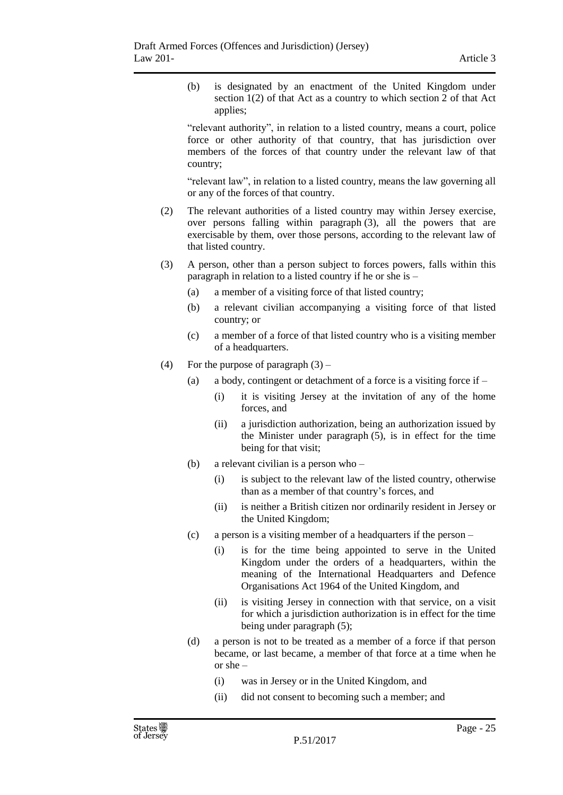(b) is designated by an enactment of the United Kingdom under section 1(2) of that Act as a country to which section 2 of that Act applies;

"relevant authority", in relation to a listed country, means a court, police force or other authority of that country, that has jurisdiction over members of the forces of that country under the relevant law of that country;

"relevant law", in relation to a listed country, means the law governing all or any of the forces of that country.

- (2) The relevant authorities of a listed country may within Jersey exercise, over persons falling within paragraph (3), all the powers that are exercisable by them, over those persons, according to the relevant law of that listed country.
- (3) A person, other than a person subject to forces powers, falls within this paragraph in relation to a listed country if he or she is –
	- (a) a member of a visiting force of that listed country;
	- (b) a relevant civilian accompanying a visiting force of that listed country; or
	- (c) a member of a force of that listed country who is a visiting member of a headquarters.
- (4) For the purpose of paragraph  $(3)$ 
	- (a) a body, contingent or detachment of a force is a visiting force if
		- (i) it is visiting Jersey at the invitation of any of the home forces, and
		- (ii) a jurisdiction authorization, being an authorization issued by the Minister under paragraph (5), is in effect for the time being for that visit;
	- (b) a relevant civilian is a person who
		- (i) is subject to the relevant law of the listed country, otherwise than as a member of that country's forces, and
		- (ii) is neither a British citizen nor ordinarily resident in Jersey or the United Kingdom;
	- (c) a person is a visiting member of a headquarters if the person
		- (i) is for the time being appointed to serve in the United Kingdom under the orders of a headquarters, within the meaning of the International Headquarters and Defence Organisations Act 1964 of the United Kingdom, and
		- (ii) is visiting Jersey in connection with that service, on a visit for which a jurisdiction authorization is in effect for the time being under paragraph (5);
	- (d) a person is not to be treated as a member of a force if that person became, or last became, a member of that force at a time when he or she –
		- (i) was in Jersey or in the United Kingdom, and
		- (ii) did not consent to becoming such a member; and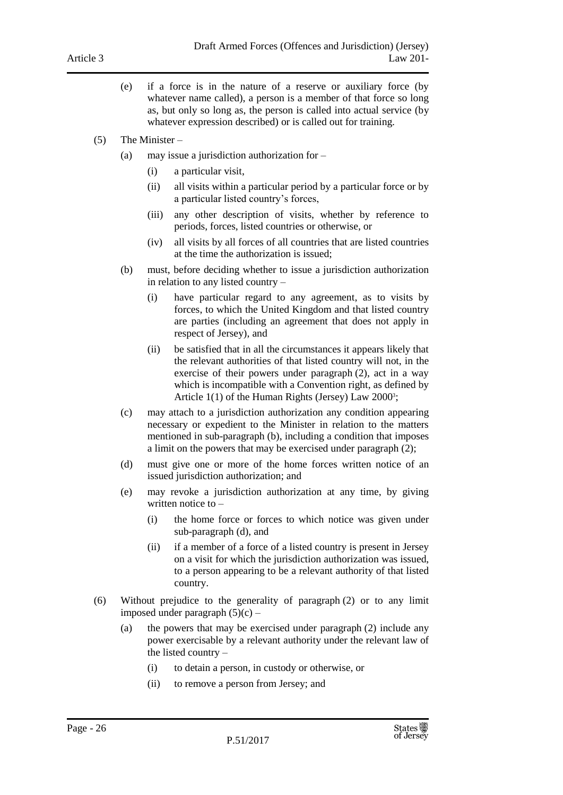- (e) if a force is in the nature of a reserve or auxiliary force (by whatever name called), a person is a member of that force so long as, but only so long as, the person is called into actual service (by whatever expression described) or is called out for training.
- (5) The Minister
	- (a) may issue a jurisdiction authorization for
		- (i) a particular visit,
		- (ii) all visits within a particular period by a particular force or by a particular listed country's forces,
		- (iii) any other description of visits, whether by reference to periods, forces, listed countries or otherwise, or
		- (iv) all visits by all forces of all countries that are listed countries at the time the authorization is issued;
	- (b) must, before deciding whether to issue a jurisdiction authorization in relation to any listed country –
		- (i) have particular regard to any agreement, as to visits by forces, to which the United Kingdom and that listed country are parties (including an agreement that does not apply in respect of Jersey), and
		- (ii) be satisfied that in all the circumstances it appears likely that the relevant authorities of that listed country will not, in the exercise of their powers under paragraph (2), act in a way which is incompatible with a Convention right, as defined by Article 1(1) of the Human Rights (Jersey) Law 2000<sup>3</sup>;
	- (c) may attach to a jurisdiction authorization any condition appearing necessary or expedient to the Minister in relation to the matters mentioned in sub-paragraph (b), including a condition that imposes a limit on the powers that may be exercised under paragraph (2);
	- (d) must give one or more of the home forces written notice of an issued jurisdiction authorization; and
	- (e) may revoke a jurisdiction authorization at any time, by giving written notice to –
		- (i) the home force or forces to which notice was given under sub-paragraph (d), and
		- (ii) if a member of a force of a listed country is present in Jersey on a visit for which the jurisdiction authorization was issued, to a person appearing to be a relevant authority of that listed country.
- (6) Without prejudice to the generality of paragraph (2) or to any limit imposed under paragraph  $(5)(c)$  –
	- (a) the powers that may be exercised under paragraph (2) include any power exercisable by a relevant authority under the relevant law of the listed country –
		- (i) to detain a person, in custody or otherwise, or
		- (ii) to remove a person from Jersey; and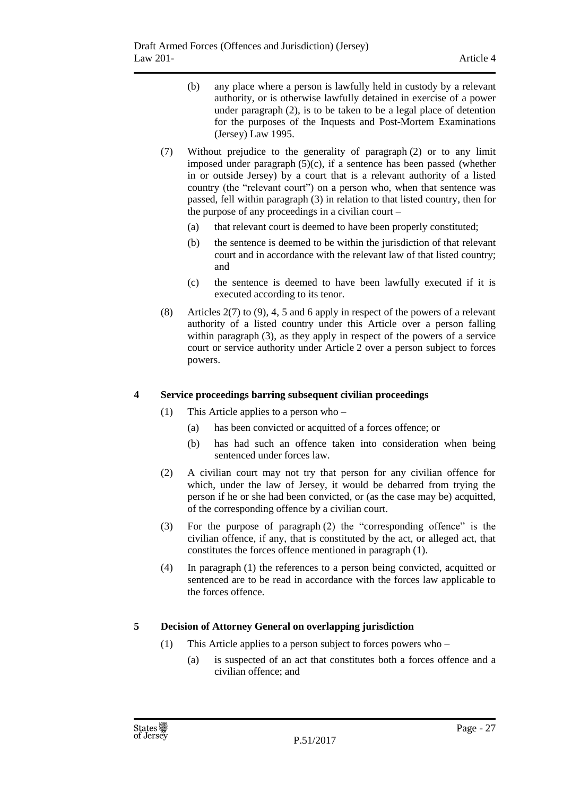- (b) any place where a person is lawfully held in custody by a relevant authority, or is otherwise lawfully detained in exercise of a power under paragraph (2), is to be taken to be a legal place of detention for the purposes of the Inquests and Post-Mortem Examinations (Jersey) Law 1995.
- (7) Without prejudice to the generality of paragraph (2) or to any limit imposed under paragraph  $(5)(c)$ , if a sentence has been passed (whether in or outside Jersey) by a court that is a relevant authority of a listed country (the "relevant court") on a person who, when that sentence was passed, fell within paragraph (3) in relation to that listed country, then for the purpose of any proceedings in a civilian court –
	- (a) that relevant court is deemed to have been properly constituted;
	- (b) the sentence is deemed to be within the jurisdiction of that relevant court and in accordance with the relevant law of that listed country; and
	- (c) the sentence is deemed to have been lawfully executed if it is executed according to its tenor.
- (8) Articles 2(7) to (9), 4, 5 and 6 apply in respect of the powers of a relevant authority of a listed country under this Article over a person falling within paragraph (3), as they apply in respect of the powers of a service court or service authority under Article 2 over a person subject to forces powers.

#### <span id="page-26-0"></span>**4 Service proceedings barring subsequent civilian proceedings**

- (1) This Article applies to a person who
	- (a) has been convicted or acquitted of a forces offence; or
	- (b) has had such an offence taken into consideration when being sentenced under forces law.
- (2) A civilian court may not try that person for any civilian offence for which, under the law of Jersey, it would be debarred from trying the person if he or she had been convicted, or (as the case may be) acquitted, of the corresponding offence by a civilian court.
- (3) For the purpose of paragraph (2) the "corresponding offence" is the civilian offence, if any, that is constituted by the act, or alleged act, that constitutes the forces offence mentioned in paragraph (1).
- (4) In paragraph (1) the references to a person being convicted, acquitted or sentenced are to be read in accordance with the forces law applicable to the forces offence.

## <span id="page-26-1"></span>**5 Decision of Attorney General on overlapping jurisdiction**

- (1) This Article applies to a person subject to forces powers who
	- (a) is suspected of an act that constitutes both a forces offence and a civilian offence; and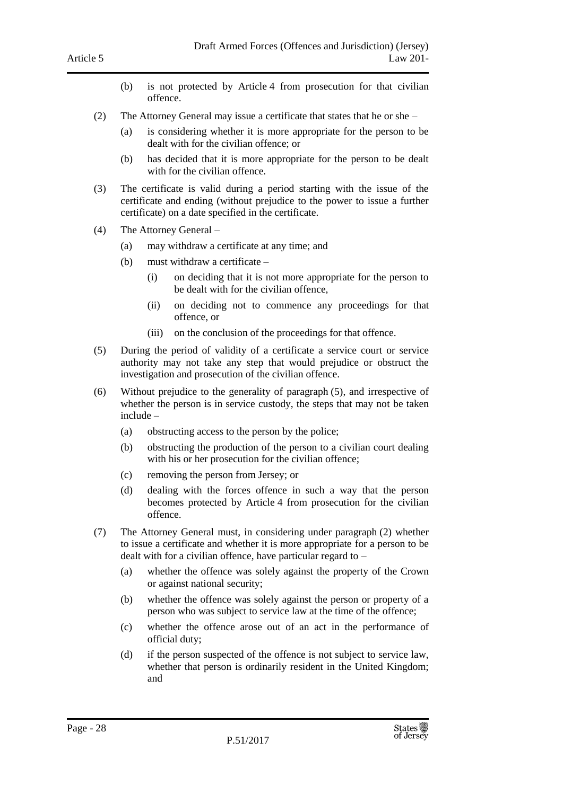- (b) is not protected by Article 4 from prosecution for that civilian offence.
- (2) The Attorney General may issue a certificate that states that he or she
	- (a) is considering whether it is more appropriate for the person to be dealt with for the civilian offence; or
	- (b) has decided that it is more appropriate for the person to be dealt with for the civilian offence.
- (3) The certificate is valid during a period starting with the issue of the certificate and ending (without prejudice to the power to issue a further certificate) on a date specified in the certificate.
- (4) The Attorney General
	- (a) may withdraw a certificate at any time; and
	- (b) must withdraw a certificate
		- (i) on deciding that it is not more appropriate for the person to be dealt with for the civilian offence,
		- (ii) on deciding not to commence any proceedings for that offence, or
		- (iii) on the conclusion of the proceedings for that offence.
- (5) During the period of validity of a certificate a service court or service authority may not take any step that would prejudice or obstruct the investigation and prosecution of the civilian offence.
- (6) Without prejudice to the generality of paragraph (5), and irrespective of whether the person is in service custody, the steps that may not be taken include –
	- (a) obstructing access to the person by the police;
	- (b) obstructing the production of the person to a civilian court dealing with his or her prosecution for the civilian offence;
	- (c) removing the person from Jersey; or
	- (d) dealing with the forces offence in such a way that the person becomes protected by Article 4 from prosecution for the civilian offence.
- (7) The Attorney General must, in considering under paragraph (2) whether to issue a certificate and whether it is more appropriate for a person to be dealt with for a civilian offence, have particular regard to –
	- (a) whether the offence was solely against the property of the Crown or against national security;
	- (b) whether the offence was solely against the person or property of a person who was subject to service law at the time of the offence;
	- (c) whether the offence arose out of an act in the performance of official duty;
	- (d) if the person suspected of the offence is not subject to service law, whether that person is ordinarily resident in the United Kingdom; and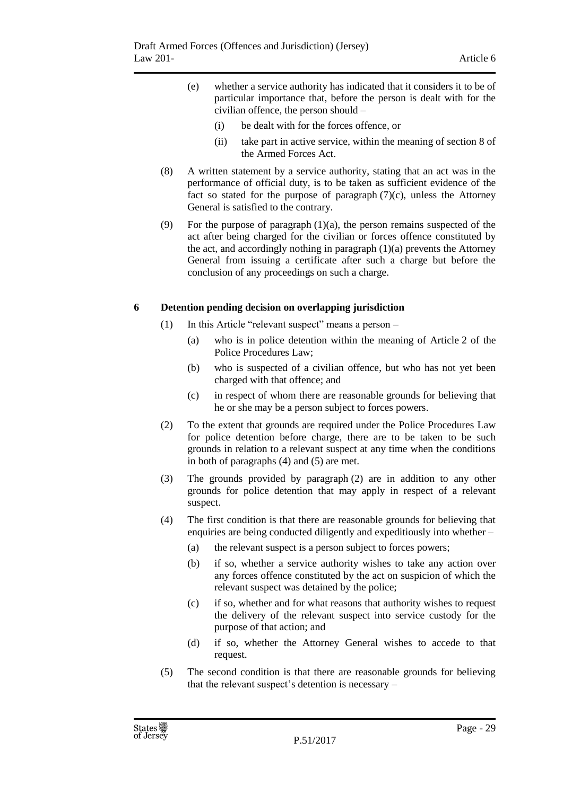- (e) whether a service authority has indicated that it considers it to be of particular importance that, before the person is dealt with for the civilian offence, the person should –
	- (i) be dealt with for the forces offence, or
	- (ii) take part in active service, within the meaning of section 8 of the Armed Forces Act.
- (8) A written statement by a service authority, stating that an act was in the performance of official duty, is to be taken as sufficient evidence of the fact so stated for the purpose of paragraph  $(7)(c)$ , unless the Attorney General is satisfied to the contrary.
- (9) For the purpose of paragraph  $(1)(a)$ , the person remains suspected of the act after being charged for the civilian or forces offence constituted by the act, and accordingly nothing in paragraph (1)(a) prevents the Attorney General from issuing a certificate after such a charge but before the conclusion of any proceedings on such a charge.

#### <span id="page-28-0"></span>**6 Detention pending decision on overlapping jurisdiction**

- (1) In this Article "relevant suspect" means a person
	- (a) who is in police detention within the meaning of Article 2 of the Police Procedures Law;
	- (b) who is suspected of a civilian offence, but who has not yet been charged with that offence; and
	- (c) in respect of whom there are reasonable grounds for believing that he or she may be a person subject to forces powers.
- (2) To the extent that grounds are required under the Police Procedures Law for police detention before charge, there are to be taken to be such grounds in relation to a relevant suspect at any time when the conditions in both of paragraphs (4) and (5) are met.
- (3) The grounds provided by paragraph (2) are in addition to any other grounds for police detention that may apply in respect of a relevant suspect.
- (4) The first condition is that there are reasonable grounds for believing that enquiries are being conducted diligently and expeditiously into whether –
	- (a) the relevant suspect is a person subject to forces powers;
	- (b) if so, whether a service authority wishes to take any action over any forces offence constituted by the act on suspicion of which the relevant suspect was detained by the police;
	- (c) if so, whether and for what reasons that authority wishes to request the delivery of the relevant suspect into service custody for the purpose of that action; and
	- (d) if so, whether the Attorney General wishes to accede to that request.
- (5) The second condition is that there are reasonable grounds for believing that the relevant suspect's detention is necessary –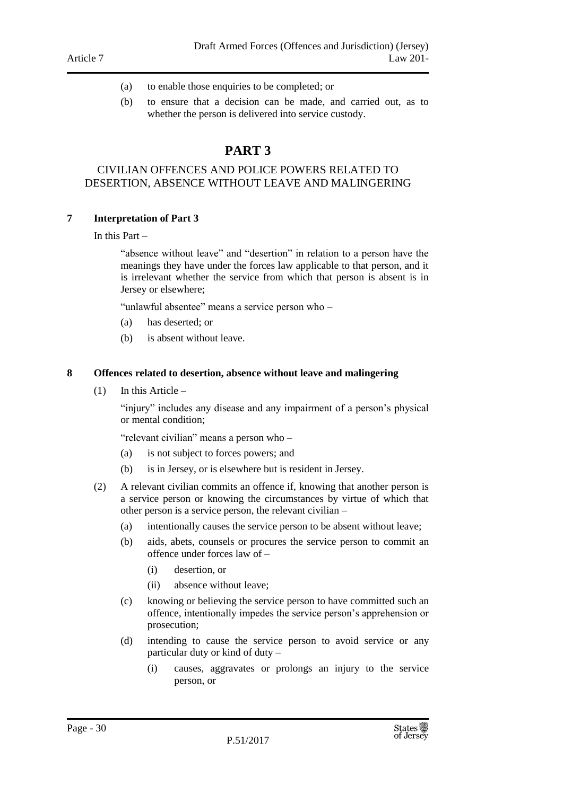- (a) to enable those enquiries to be completed; or
- (b) to ensure that a decision can be made, and carried out, as to whether the person is delivered into service custody.

# **PART 3**

#### <span id="page-29-1"></span><span id="page-29-0"></span>CIVILIAN OFFENCES AND POLICE POWERS RELATED TO DESERTION, ABSENCE WITHOUT LEAVE AND MALINGERING

#### <span id="page-29-2"></span>**7 Interpretation of Part 3**

In this Part –

"absence without leave" and "desertion" in relation to a person have the meanings they have under the forces law applicable to that person, and it is irrelevant whether the service from which that person is absent is in Jersey or elsewhere;

"unlawful absentee" means a service person who –

- (a) has deserted; or
- (b) is absent without leave.

#### <span id="page-29-3"></span>**8 Offences related to desertion, absence without leave and malingering**

(1) In this Article –

"injury" includes any disease and any impairment of a person's physical or mental condition;

"relevant civilian" means a person who –

- (a) is not subject to forces powers; and
- (b) is in Jersey, or is elsewhere but is resident in Jersey.
- (2) A relevant civilian commits an offence if, knowing that another person is a service person or knowing the circumstances by virtue of which that other person is a service person, the relevant civilian –
	- (a) intentionally causes the service person to be absent without leave;
	- (b) aids, abets, counsels or procures the service person to commit an offence under forces law of –
		- (i) desertion, or
		- (ii) absence without leave;
	- (c) knowing or believing the service person to have committed such an offence, intentionally impedes the service person's apprehension or prosecution;
	- (d) intending to cause the service person to avoid service or any particular duty or kind of duty –
		- (i) causes, aggravates or prolongs an injury to the service person, or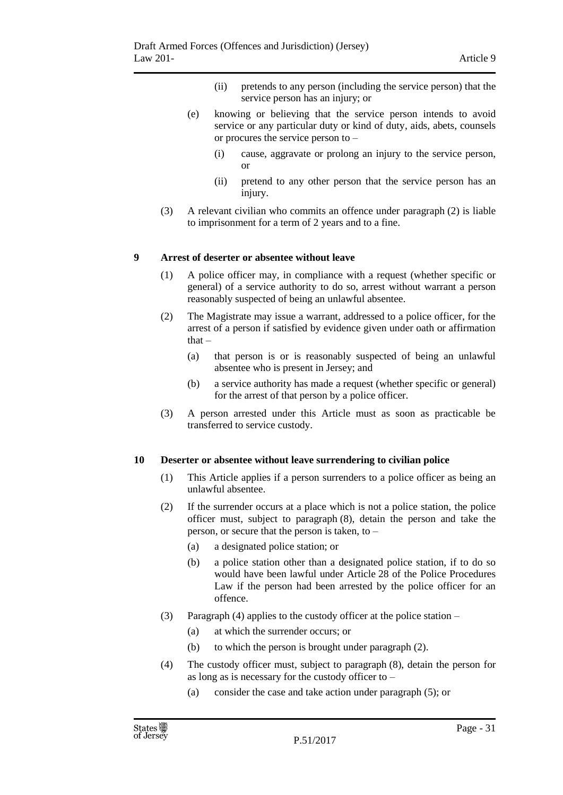- (ii) pretends to any person (including the service person) that the service person has an injury; or
- (e) knowing or believing that the service person intends to avoid service or any particular duty or kind of duty, aids, abets, counsels or procures the service person to –
	- (i) cause, aggravate or prolong an injury to the service person, or
	- (ii) pretend to any other person that the service person has an injury.
- (3) A relevant civilian who commits an offence under paragraph (2) is liable to imprisonment for a term of 2 years and to a fine.

#### <span id="page-30-0"></span>**9 Arrest of deserter or absentee without leave**

- (1) A police officer may, in compliance with a request (whether specific or general) of a service authority to do so, arrest without warrant a person reasonably suspected of being an unlawful absentee.
- (2) The Magistrate may issue a warrant, addressed to a police officer, for the arrest of a person if satisfied by evidence given under oath or affirmation that –
	- (a) that person is or is reasonably suspected of being an unlawful absentee who is present in Jersey; and
	- (b) a service authority has made a request (whether specific or general) for the arrest of that person by a police officer.
- (3) A person arrested under this Article must as soon as practicable be transferred to service custody.

#### <span id="page-30-1"></span>**10 Deserter or absentee without leave surrendering to civilian police**

- (1) This Article applies if a person surrenders to a police officer as being an unlawful absentee.
- (2) If the surrender occurs at a place which is not a police station, the police officer must, subject to paragraph (8), detain the person and take the person, or secure that the person is taken, to –
	- (a) a designated police station; or
	- (b) a police station other than a designated police station, if to do so would have been lawful under Article 28 of the Police Procedures Law if the person had been arrested by the police officer for an offence.
- (3) Paragraph (4) applies to the custody officer at the police station
	- (a) at which the surrender occurs; or
	- (b) to which the person is brought under paragraph (2).
- (4) The custody officer must, subject to paragraph (8), detain the person for as long as is necessary for the custody officer to –
	- (a) consider the case and take action under paragraph (5); or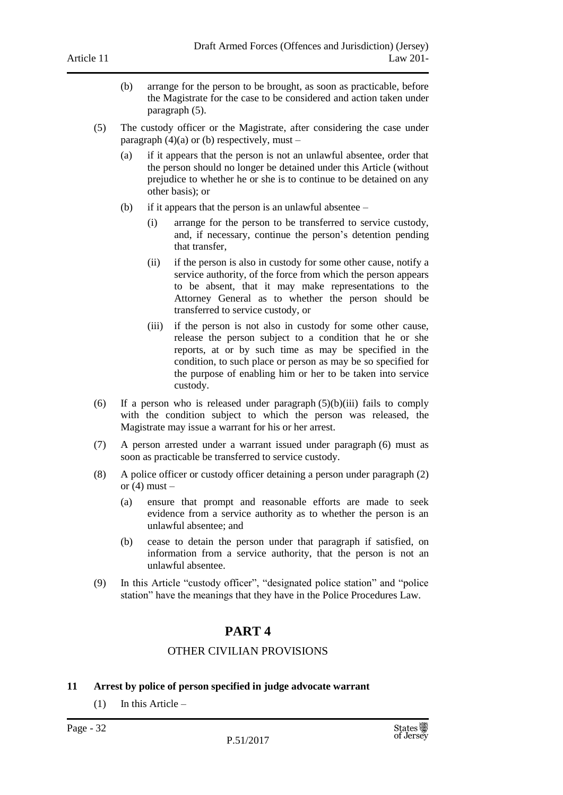- (b) arrange for the person to be brought, as soon as practicable, before the Magistrate for the case to be considered and action taken under paragraph (5).
- (5) The custody officer or the Magistrate, after considering the case under paragraph  $(4)(a)$  or (b) respectively, must –
	- (a) if it appears that the person is not an unlawful absentee, order that the person should no longer be detained under this Article (without prejudice to whether he or she is to continue to be detained on any other basis); or
	- (b) if it appears that the person is an unlawful absentee
		- (i) arrange for the person to be transferred to service custody, and, if necessary, continue the person's detention pending that transfer,
		- (ii) if the person is also in custody for some other cause, notify a service authority, of the force from which the person appears to be absent, that it may make representations to the Attorney General as to whether the person should be transferred to service custody, or
		- (iii) if the person is not also in custody for some other cause, release the person subject to a condition that he or she reports, at or by such time as may be specified in the condition, to such place or person as may be so specified for the purpose of enabling him or her to be taken into service custody.
- (6) If a person who is released under paragraph  $(5)(b)(iii)$  fails to comply with the condition subject to which the person was released, the Magistrate may issue a warrant for his or her arrest.
- (7) A person arrested under a warrant issued under paragraph (6) must as soon as practicable be transferred to service custody.
- (8) A police officer or custody officer detaining a person under paragraph (2) or  $(4)$  must  $-$ 
	- (a) ensure that prompt and reasonable efforts are made to seek evidence from a service authority as to whether the person is an unlawful absentee; and
	- (b) cease to detain the person under that paragraph if satisfied, on information from a service authority, that the person is not an unlawful absentee.
- <span id="page-31-0"></span>(9) In this Article "custody officer", "designated police station" and "police station" have the meanings that they have in the Police Procedures Law.

# **PART 4**

## OTHER CIVILIAN PROVISIONS

#### <span id="page-31-2"></span><span id="page-31-1"></span>**11 Arrest by police of person specified in judge advocate warrant**

(1) In this Article –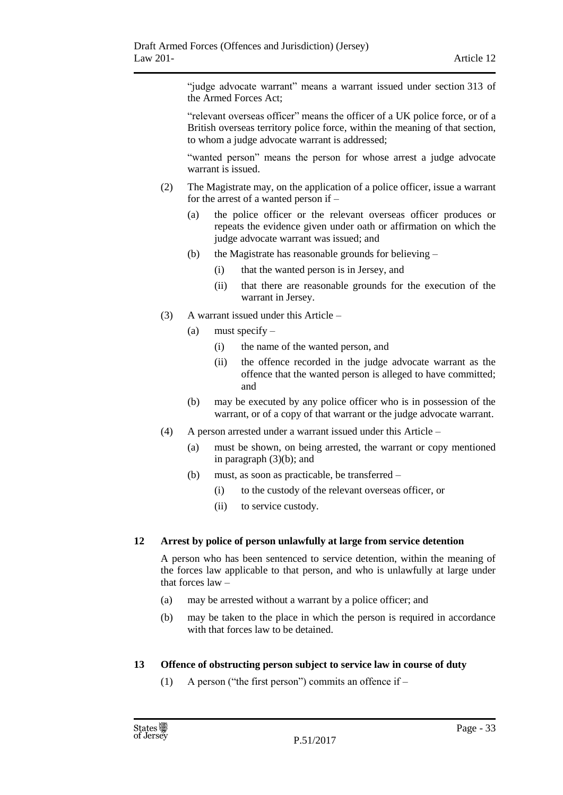"judge advocate warrant" means a warrant issued under section 313 of the Armed Forces Act;

"relevant overseas officer" means the officer of a UK police force, or of a British overseas territory police force, within the meaning of that section, to whom a judge advocate warrant is addressed;

"wanted person" means the person for whose arrest a judge advocate warrant is issued.

- (2) The Magistrate may, on the application of a police officer, issue a warrant for the arrest of a wanted person if –
	- (a) the police officer or the relevant overseas officer produces or repeats the evidence given under oath or affirmation on which the judge advocate warrant was issued; and
	- (b) the Magistrate has reasonable grounds for believing
		- (i) that the wanted person is in Jersey, and
		- (ii) that there are reasonable grounds for the execution of the warrant in Jersey.
- (3) A warrant issued under this Article
	- (a) must specify  $-$ 
		- (i) the name of the wanted person, and
		- (ii) the offence recorded in the judge advocate warrant as the offence that the wanted person is alleged to have committed; and
	- (b) may be executed by any police officer who is in possession of the warrant, or of a copy of that warrant or the judge advocate warrant.
- (4) A person arrested under a warrant issued under this Article
	- (a) must be shown, on being arrested, the warrant or copy mentioned in paragraph (3)(b); and
	- (b) must, as soon as practicable, be transferred
		- (i) to the custody of the relevant overseas officer, or
		- (ii) to service custody.

#### <span id="page-32-0"></span>**12 Arrest by police of person unlawfully at large from service detention**

A person who has been sentenced to service detention, within the meaning of the forces law applicable to that person, and who is unlawfully at large under that forces law –

- (a) may be arrested without a warrant by a police officer; and
- (b) may be taken to the place in which the person is required in accordance with that forces law to be detained.

#### <span id="page-32-1"></span>**13 Offence of obstructing person subject to service law in course of duty**

(1) A person ("the first person") commits an offence if –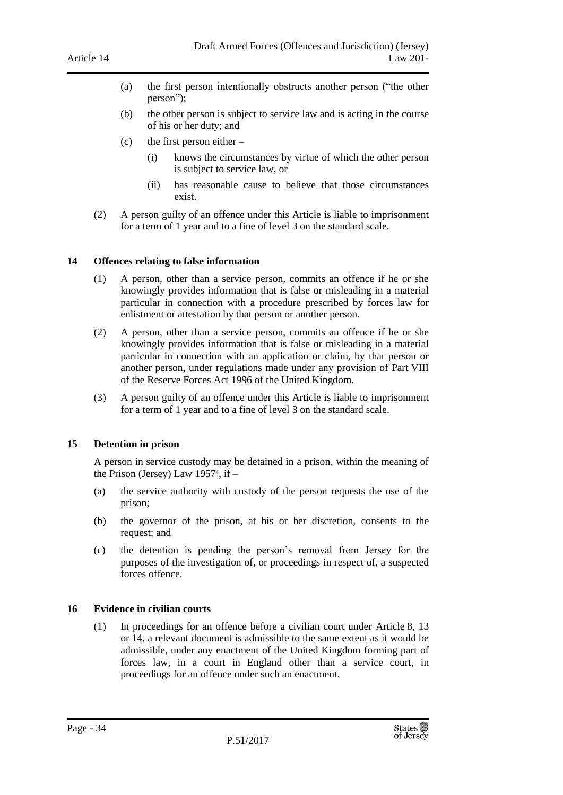- (a) the first person intentionally obstructs another person ("the other person");
- (b) the other person is subject to service law and is acting in the course of his or her duty; and
- (c) the first person either  $-$ 
	- (i) knows the circumstances by virtue of which the other person is subject to service law, or
	- (ii) has reasonable cause to believe that those circumstances exist.
- (2) A person guilty of an offence under this Article is liable to imprisonment for a term of 1 year and to a fine of level 3 on the standard scale.

#### <span id="page-33-0"></span>**14 Offences relating to false information**

- (1) A person, other than a service person, commits an offence if he or she knowingly provides information that is false or misleading in a material particular in connection with a procedure prescribed by forces law for enlistment or attestation by that person or another person.
- (2) A person, other than a service person, commits an offence if he or she knowingly provides information that is false or misleading in a material particular in connection with an application or claim, by that person or another person, under regulations made under any provision of Part VIII of the Reserve Forces Act 1996 of the United Kingdom.
- (3) A person guilty of an offence under this Article is liable to imprisonment for a term of 1 year and to a fine of level 3 on the standard scale.

#### <span id="page-33-1"></span>**15 Detention in prison**

A person in service custody may be detained in a prison, within the meaning of the Prison (Jersey) Law 1957<sup>4</sup> , if –

- (a) the service authority with custody of the person requests the use of the prison;
- (b) the governor of the prison, at his or her discretion, consents to the request; and
- (c) the detention is pending the person's removal from Jersey for the purposes of the investigation of, or proceedings in respect of, a suspected forces offence.

#### <span id="page-33-2"></span>**16 Evidence in civilian courts**

(1) In proceedings for an offence before a civilian court under Article 8, 13 or 14, a relevant document is admissible to the same extent as it would be admissible, under any enactment of the United Kingdom forming part of forces law, in a court in England other than a service court, in proceedings for an offence under such an enactment.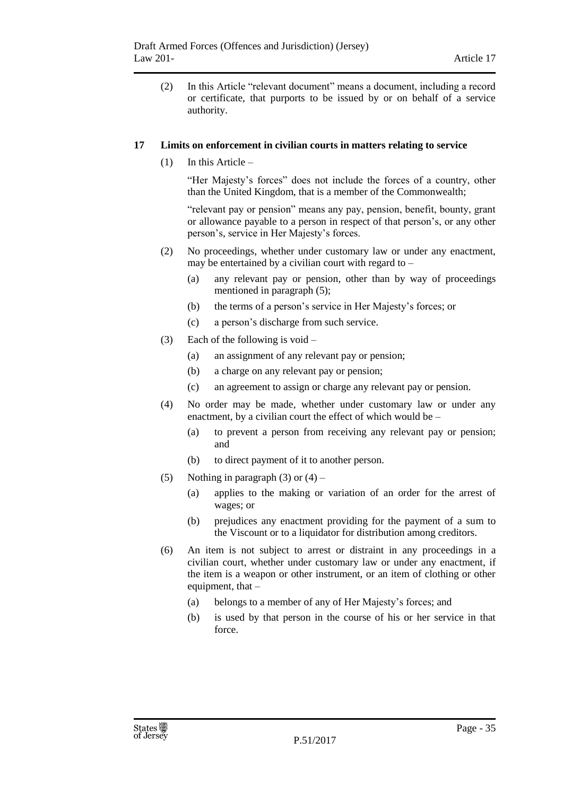(2) In this Article "relevant document" means a document, including a record or certificate, that purports to be issued by or on behalf of a service authority.

#### <span id="page-34-0"></span>**17 Limits on enforcement in civilian courts in matters relating to service**

(1) In this Article –

"Her Majesty's forces" does not include the forces of a country, other than the United Kingdom, that is a member of the Commonwealth;

"relevant pay or pension" means any pay, pension, benefit, bounty, grant or allowance payable to a person in respect of that person's, or any other person's, service in Her Majesty's forces.

- (2) No proceedings, whether under customary law or under any enactment, may be entertained by a civilian court with regard to –
	- (a) any relevant pay or pension, other than by way of proceedings mentioned in paragraph (5);
	- (b) the terms of a person's service in Her Majesty's forces; or
	- (c) a person's discharge from such service.
- (3) Each of the following is void
	- (a) an assignment of any relevant pay or pension;
	- (b) a charge on any relevant pay or pension;
	- (c) an agreement to assign or charge any relevant pay or pension.
- (4) No order may be made, whether under customary law or under any enactment, by a civilian court the effect of which would be –
	- (a) to prevent a person from receiving any relevant pay or pension; and
	- (b) to direct payment of it to another person.
- (5) Nothing in paragraph (3) or  $(4)$ 
	- (a) applies to the making or variation of an order for the arrest of wages; or
	- (b) prejudices any enactment providing for the payment of a sum to the Viscount or to a liquidator for distribution among creditors.
- (6) An item is not subject to arrest or distraint in any proceedings in a civilian court, whether under customary law or under any enactment, if the item is a weapon or other instrument, or an item of clothing or other equipment, that –
	- (a) belongs to a member of any of Her Majesty's forces; and
	- (b) is used by that person in the course of his or her service in that force.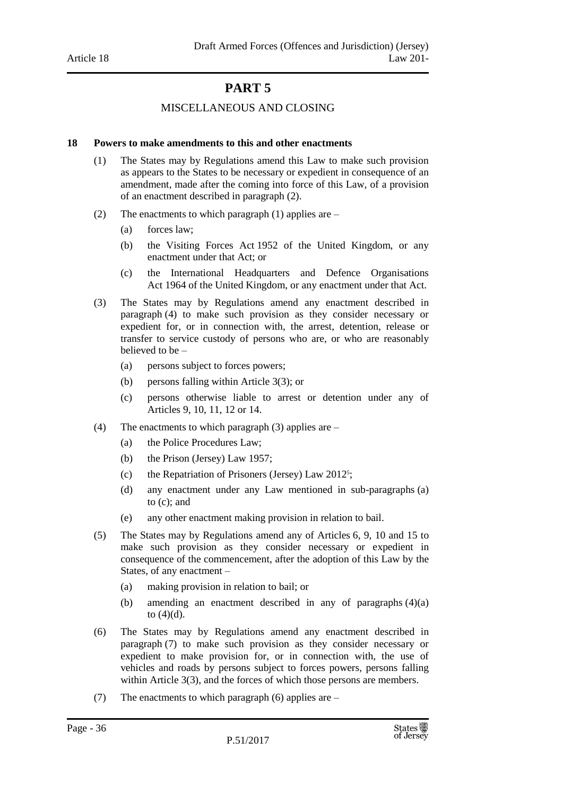# **PART 5**

#### MISCELLANEOUS AND CLOSING

#### <span id="page-35-2"></span><span id="page-35-1"></span><span id="page-35-0"></span>**18 Powers to make amendments to this and other enactments**

- (1) The States may by Regulations amend this Law to make such provision as appears to the States to be necessary or expedient in consequence of an amendment, made after the coming into force of this Law, of a provision of an enactment described in paragraph (2).
- (2) The enactments to which paragraph (1) applies are  $-$ 
	- (a) forces law;
	- (b) the Visiting Forces Act 1952 of the United Kingdom, or any enactment under that Act; or
	- (c) the International Headquarters and Defence Organisations Act 1964 of the United Kingdom, or any enactment under that Act.
- (3) The States may by Regulations amend any enactment described in paragraph (4) to make such provision as they consider necessary or expedient for, or in connection with, the arrest, detention, release or transfer to service custody of persons who are, or who are reasonably believed to be –
	- (a) persons subject to forces powers;
	- (b) persons falling within Article 3(3); or
	- (c) persons otherwise liable to arrest or detention under any of Articles 9, 10, 11, 12 or 14.
- (4) The enactments to which paragraph (3) applies are
	- (a) the Police Procedures Law;
	- (b) the Prison (Jersey) Law 1957;
	- (c) the Repatriation of Prisoners (Jersey) Law 2012<sup>5</sup> ;
	- (d) any enactment under any Law mentioned in sub-paragraphs (a) to (c); and
	- (e) any other enactment making provision in relation to bail.
- (5) The States may by Regulations amend any of Articles 6, 9, 10 and 15 to make such provision as they consider necessary or expedient in consequence of the commencement, after the adoption of this Law by the States, of any enactment –
	- (a) making provision in relation to bail; or
	- (b) amending an enactment described in any of paragraphs (4)(a) to  $(4)(d)$ .
- (6) The States may by Regulations amend any enactment described in paragraph (7) to make such provision as they consider necessary or expedient to make provision for, or in connection with, the use of vehicles and roads by persons subject to forces powers, persons falling within Article 3(3), and the forces of which those persons are members.
- (7) The enactments to which paragraph (6) applies are –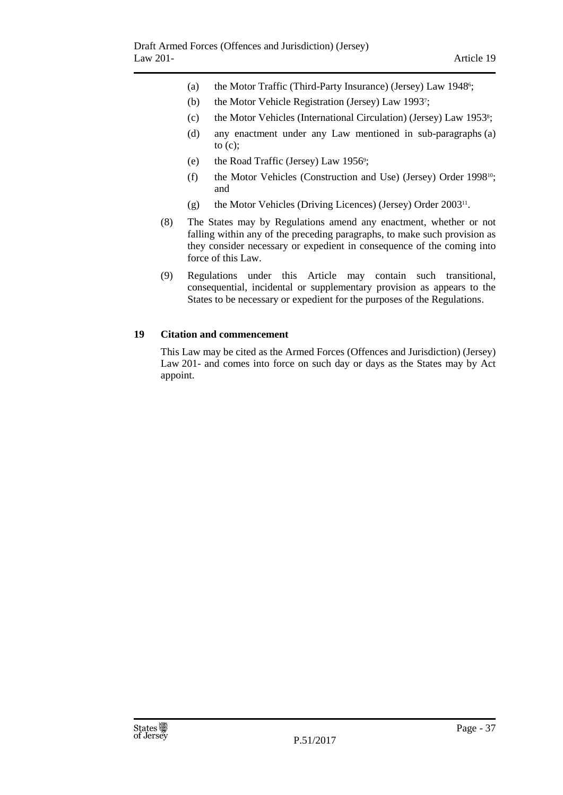- (a) the Motor Traffic (Third-Party Insurance) (Jersey) Law 1948<sup>6</sup>;
- (b) the Motor Vehicle Registration (Jersey) Law 1993<sup>7</sup> ;
- (c) the Motor Vehicles (International Circulation) (Jersey) Law 1953<sup>8</sup> ;
- (d) any enactment under any Law mentioned in sub-paragraphs (a) to  $(c)$ ;
- (e) the Road Traffic (Jersey) Law 1956<sup>9</sup>;
- (f) the Motor Vehicles (Construction and Use) (Jersey) Order 199810; and
- (g) the Motor Vehicles (Driving Licences) (Jersey) Order 2003<sup>11</sup> .
- (8) The States may by Regulations amend any enactment, whether or not falling within any of the preceding paragraphs, to make such provision as they consider necessary or expedient in consequence of the coming into force of this Law.
- (9) Regulations under this Article may contain such transitional, consequential, incidental or supplementary provision as appears to the States to be necessary or expedient for the purposes of the Regulations.

## <span id="page-36-0"></span>**19 Citation and commencement**

This Law may be cited as the Armed Forces (Offences and Jurisdiction) (Jersey) Law 201- and comes into force on such day or days as the States may by Act appoint.